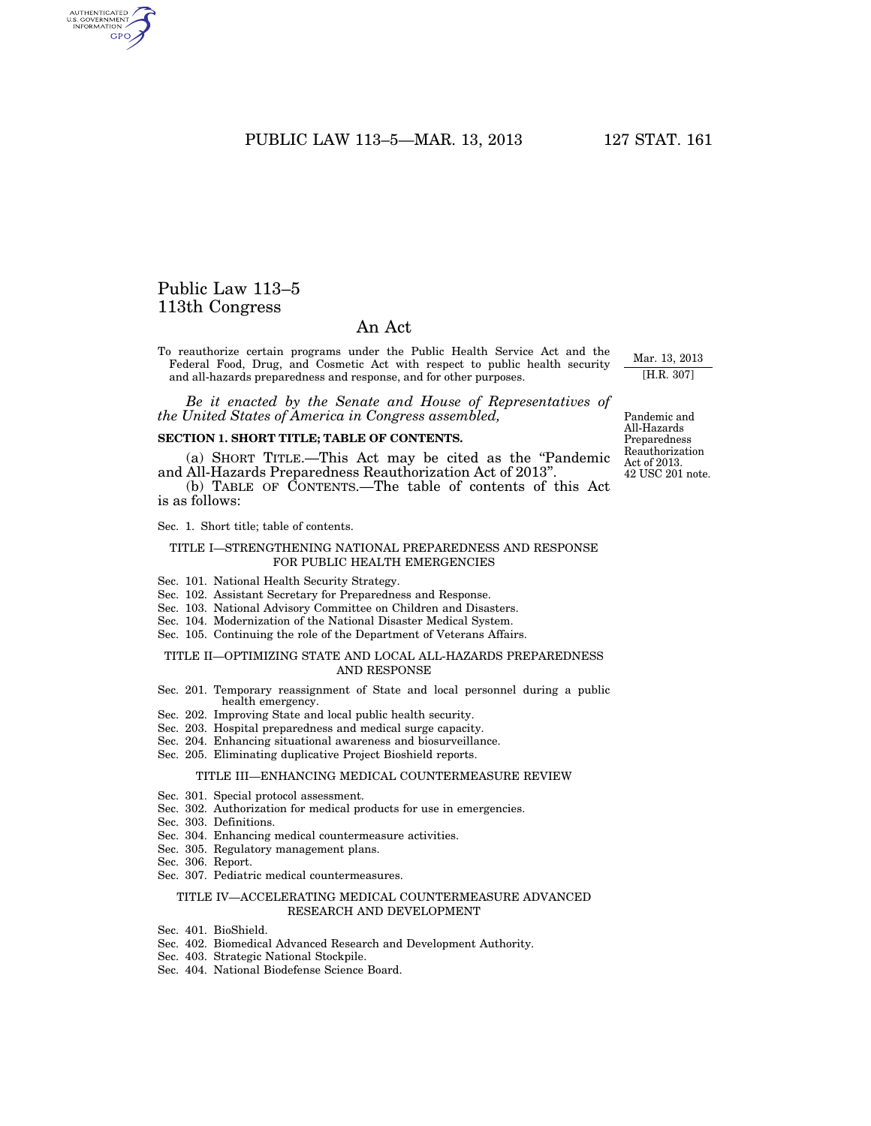PUBLIC LAW 113-5-MAR. 13, 2013 127 STAT. 161

## Public Law 113–5 113th Congress

## An Act

To reauthorize certain programs under the Public Health Service Act and the Federal Food, Drug, and Cosmetic Act with respect to public health security and all-hazards preparedness and response, and for other purposes.

*Be it enacted by the Senate and House of Representatives of the United States of America in Congress assembled,* 

## **SECTION 1. SHORT TITLE; TABLE OF CONTENTS.**

(a) SHORT TITLE.—This Act may be cited as the ''Pandemic and All-Hazards Preparedness Reauthorization Act of 2013''.

(b) TABLE OF CONTENTS.—The table of contents of this Act is as follows:

Sec. 1. Short title; table of contents.

### TITLE I—STRENGTHENING NATIONAL PREPAREDNESS AND RESPONSE FOR PUBLIC HEALTH EMERGENCIES

- Sec. 101. National Health Security Strategy.
- Sec. 102. Assistant Secretary for Preparedness and Response.
- Sec. 103. National Advisory Committee on Children and Disasters.
- Sec. 104. Modernization of the National Disaster Medical System.
- Sec. 105. Continuing the role of the Department of Veterans Affairs.

## TITLE II—OPTIMIZING STATE AND LOCAL ALL-HAZARDS PREPAREDNESS AND RESPONSE

- Sec. 201. Temporary reassignment of State and local personnel during a public health emergency.
- Sec. 202. Improving State and local public health security.
- Sec. 203. Hospital preparedness and medical surge capacity.
- Sec. 204. Enhancing situational awareness and biosurveillance.
- Sec. 205. Eliminating duplicative Project Bioshield reports.

#### TITLE III—ENHANCING MEDICAL COUNTERMEASURE REVIEW

- Sec. 301. Special protocol assessment.
- Sec. 302. Authorization for medical products for use in emergencies.
- Sec. 303. Definitions.
- Sec. 304. Enhancing medical countermeasure activities.
- Sec. 305. Regulatory management plans.
- Sec. 306. Report.
- Sec. 307. Pediatric medical countermeasures.

#### TITLE IV—ACCELERATING MEDICAL COUNTERMEASURE ADVANCED RESEARCH AND DEVELOPMENT

- Sec. 401. BioShield.
- Sec. 402. Biomedical Advanced Research and Development Authority.
- Sec. 403. Strategic National Stockpile.
- Sec. 404. National Biodefense Science Board.

Pandemic and All-Hazards Preparedness Reauthorization Act of 2013. 42 USC 201 note.

Mar. 13, 2013 [H.R. 307]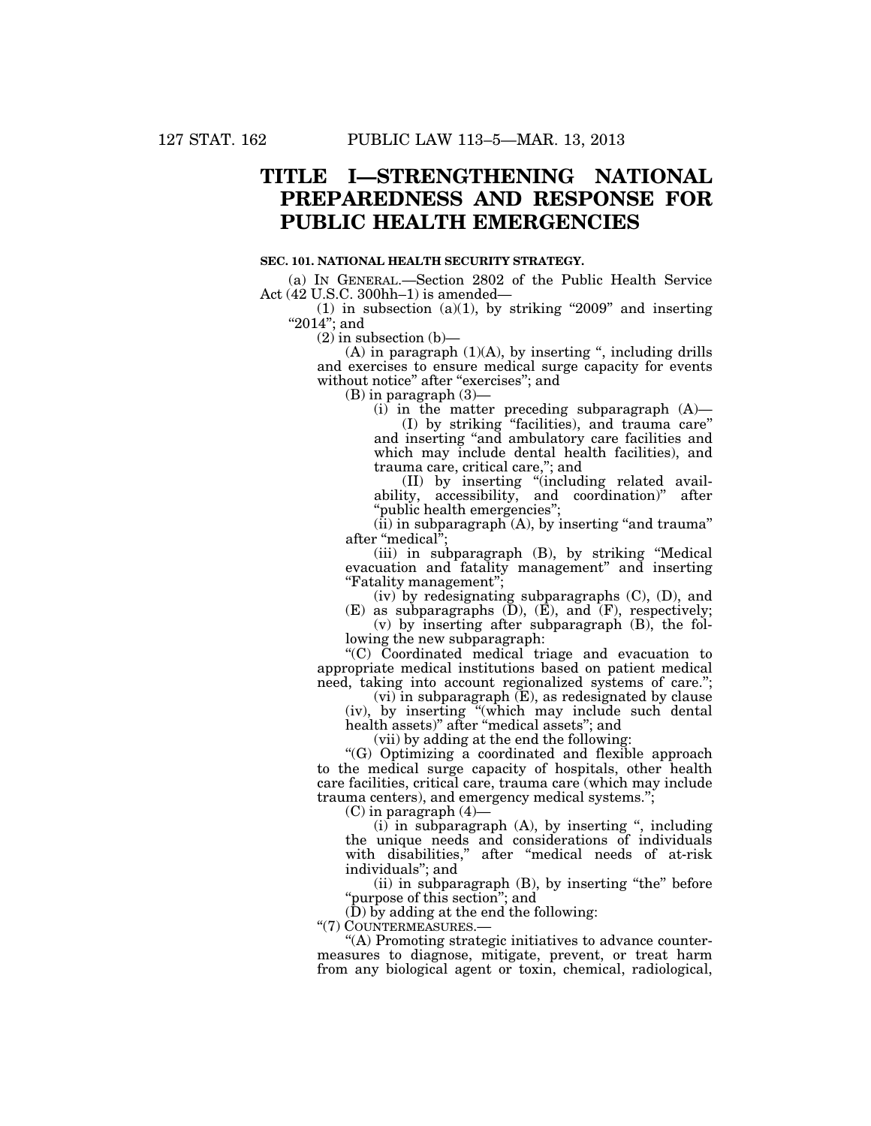# **TITLE I—STRENGTHENING NATIONAL PREPAREDNESS AND RESPONSE FOR PUBLIC HEALTH EMERGENCIES**

### **SEC. 101. NATIONAL HEALTH SECURITY STRATEGY.**

(a) IN GENERAL.—Section 2802 of the Public Health Service Act (42 U.S.C. 300hh–1) is amended—

(1) in subsection (a)(1), by striking "2009" and inserting "2014"; and

 $(2)$  in subsection  $(b)$ —

 $(A)$  in paragraph  $(1)(A)$ , by inserting ", including drills and exercises to ensure medical surge capacity for events without notice" after "exercises"; and

(B) in paragraph (3)—

(i) in the matter preceding subparagraph (A)—

(I) by striking ''facilities), and trauma care'' and inserting ''and ambulatory care facilities and which may include dental health facilities), and trauma care, critical care,''; and

(II) by inserting ''(including related availability, accessibility, and coordination)'' after ''public health emergencies'';

 $(iii)$  in subparagraph  $(A)$ , by inserting "and trauma" after "medical";

(iii) in subparagraph (B), by striking ''Medical evacuation and fatality management'' and inserting ''Fatality management'';

(iv) by redesignating subparagraphs (C), (D), and

 $(E)$  as subparagraphs  $(D)$ ,  $(E)$ , and  $(F)$ , respectively; (v) by inserting after subparagraph (B), the following the new subparagraph:

''(C) Coordinated medical triage and evacuation to appropriate medical institutions based on patient medical need, taking into account regionalized systems of care.'';

 $(vi)$  in subparagraph  $(E)$ , as redesignated by clause (iv), by inserting ''(which may include such dental health assets)'' after ''medical assets''; and

(vii) by adding at the end the following:

''(G) Optimizing a coordinated and flexible approach to the medical surge capacity of hospitals, other health care facilities, critical care, trauma care (which may include trauma centers), and emergency medical systems.'';

(C) in paragraph (4)—

(i) in subparagraph (A), by inserting '', including the unique needs and considerations of individuals with disabilities," after "medical needs of at-risk individuals"; and

(ii) in subparagraph (B), by inserting ''the'' before "purpose of this section"; and

(D) by adding at the end the following:

''(7) COUNTERMEASURES.—

''(A) Promoting strategic initiatives to advance countermeasures to diagnose, mitigate, prevent, or treat harm from any biological agent or toxin, chemical, radiological,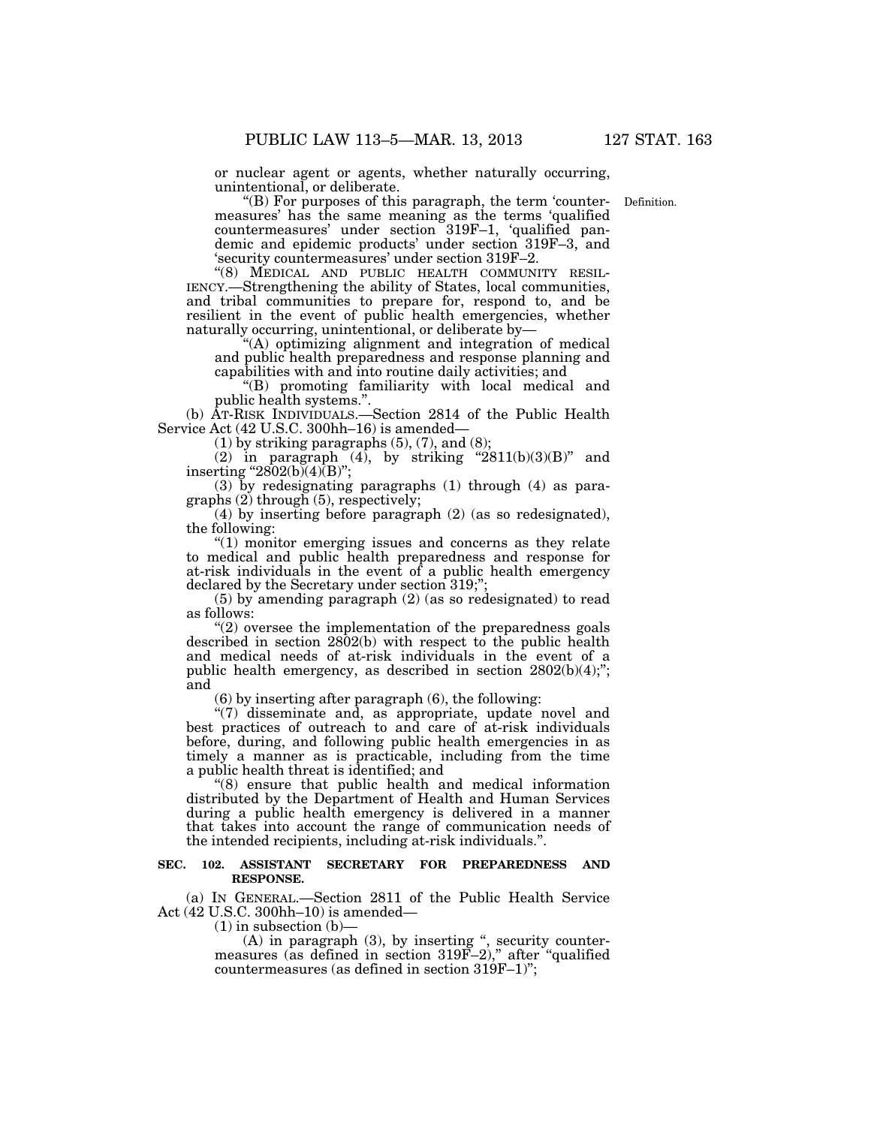or nuclear agent or agents, whether naturally occurring, unintentional, or deliberate.

Definition.

''(B) For purposes of this paragraph, the term 'countermeasures' has the same meaning as the terms 'qualified countermeasures' under section 319F–1, 'qualified pandemic and epidemic products' under section 319F–3, and 'security countermeasures' under section 319F–2.

''(8) MEDICAL AND PUBLIC HEALTH COMMUNITY RESIL- IENCY.—Strengthening the ability of States, local communities, and tribal communities to prepare for, respond to, and be resilient in the event of public health emergencies, whether naturally occurring, unintentional, or deliberate by—

''(A) optimizing alignment and integration of medical and public health preparedness and response planning and capabilities with and into routine daily activities; and

''(B) promoting familiarity with local medical and public health systems.''.

(b) AT-RISK INDIVIDUALS.—Section 2814 of the Public Health Service Act (42 U.S.C. 300hh–16) is amended—

 $(1)$  by striking paragraphs  $(5)$ ,  $(7)$ , and  $(8)$ ;

(2) in paragraph  $(4)$ , by striking "2811(b)(3)(B)" and inserting "2802(b)(4) $\overline{(B)}$ ";

(3) by redesignating paragraphs (1) through (4) as paragraphs (2) through (5), respectively;

(4) by inserting before paragraph (2) (as so redesignated), the following:

 $(1)$  monitor emerging issues and concerns as they relate to medical and public health preparedness and response for at-risk individuals in the event of a public health emergency declared by the Secretary under section 319;'

(5) by amending paragraph (2) (as so redesignated) to read as follows:

 $(2)$  oversee the implementation of the preparedness goals described in section 2802(b) with respect to the public health and medical needs of at-risk individuals in the event of a public health emergency, as described in section  $2802(b)(4)$ ;"; and

(6) by inserting after paragraph (6), the following:

''(7) disseminate and, as appropriate, update novel and best practices of outreach to and care of at-risk individuals before, during, and following public health emergencies in as timely a manner as is practicable, including from the time a public health threat is identified; and

''(8) ensure that public health and medical information distributed by the Department of Health and Human Services during a public health emergency is delivered in a manner that takes into account the range of communication needs of the intended recipients, including at-risk individuals.''.

### **SEC. 102. ASSISTANT SECRETARY FOR PREPAREDNESS AND RESPONSE.**

(a) IN GENERAL.—Section 2811 of the Public Health Service Act (42 U.S.C. 300hh–10) is amended—

 $(1)$  in subsection  $(b)$ –

(A) in paragraph (3), by inserting '', security countermeasures (as defined in section 319F–2)," after "qualified countermeasures (as defined in section 319F–1)'';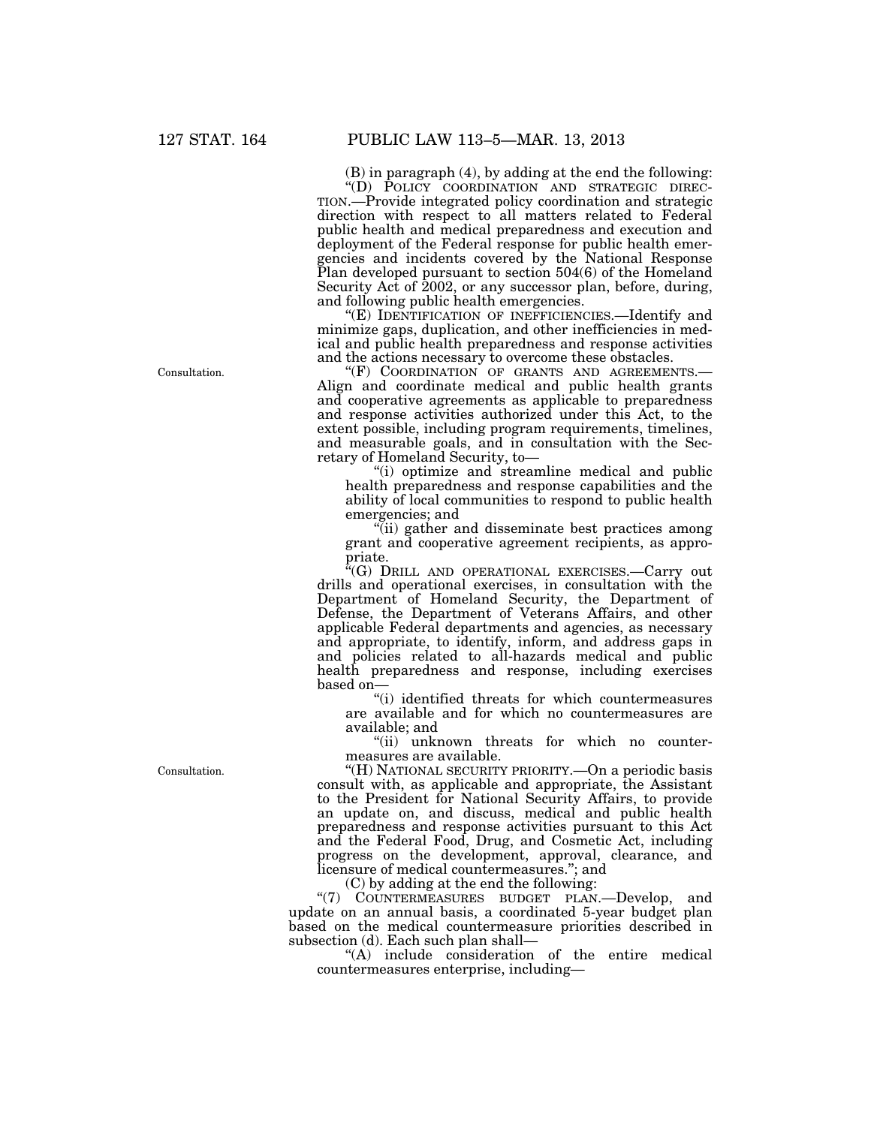(B) in paragraph (4), by adding at the end the following:

''(D) POLICY COORDINATION AND STRATEGIC DIREC- TION.—Provide integrated policy coordination and strategic direction with respect to all matters related to Federal public health and medical preparedness and execution and deployment of the Federal response for public health emergencies and incidents covered by the National Response Plan developed pursuant to section 504(6) of the Homeland Security Act of 2002, or any successor plan, before, during, and following public health emergencies.

''(E) IDENTIFICATION OF INEFFICIENCIES.—Identify and minimize gaps, duplication, and other inefficiencies in medical and public health preparedness and response activities and the actions necessary to overcome these obstacles.<br>"(F) COORDINATION OF GRANTS AND AGREEMENTS.

Align and coordinate medical and public health grants. and cooperative agreements as applicable to preparedness and response activities authorized under this Act, to the extent possible, including program requirements, timelines, and measurable goals, and in consultation with the Secretary of Homeland Security, to—

''(i) optimize and streamline medical and public health preparedness and response capabilities and the ability of local communities to respond to public health emergencies; and

''(ii) gather and disseminate best practices among grant and cooperative agreement recipients, as appropriate.

''(G) DRILL AND OPERATIONAL EXERCISES.—Carry out drills and operational exercises, in consultation with the Department of Homeland Security, the Department of Defense, the Department of Veterans Affairs, and other applicable Federal departments and agencies, as necessary and appropriate, to identify, inform, and address gaps in and policies related to all-hazards medical and public health preparedness and response, including exercises based on—

''(i) identified threats for which countermeasures are available and for which no countermeasures are available; and

''(ii) unknown threats for which no countermeasures are available.

"(H) NATIONAL SECURITY PRIORITY.—On a periodic basis consult with, as applicable and appropriate, the Assistant to the President for National Security Affairs, to provide an update on, and discuss, medical and public health preparedness and response activities pursuant to this Act and the Federal Food, Drug, and Cosmetic Act, including progress on the development, approval, clearance, and licensure of medical countermeasures.''; and

(C) by adding at the end the following:

"(7) COUNTERMEASURES BUDGET PLAN.—Develop, and update on an annual basis, a coordinated 5-year budget plan based on the medical countermeasure priorities described in subsection (d). Each such plan shall—

''(A) include consideration of the entire medical countermeasures enterprise, including—

Consultation.

Consultation.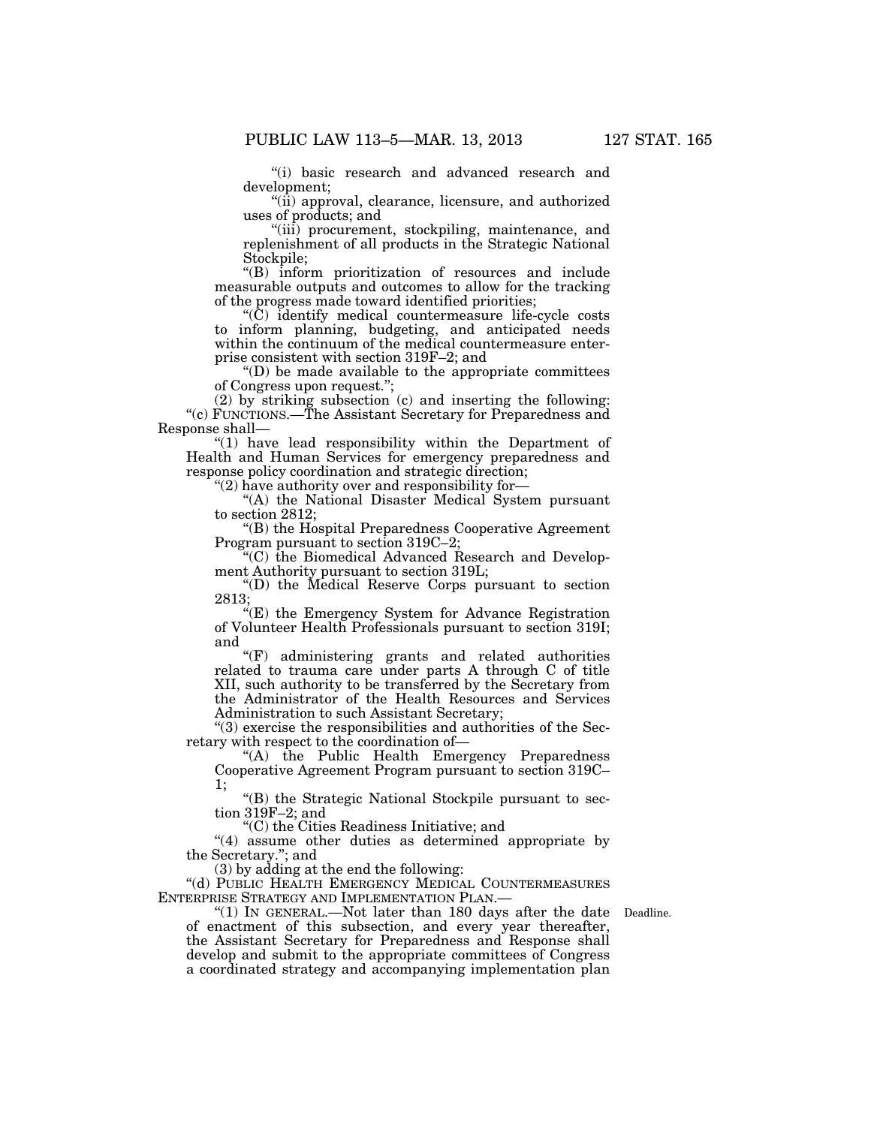''(i) basic research and advanced research and development;

''(ii) approval, clearance, licensure, and authorized uses of products; and

''(iii) procurement, stockpiling, maintenance, and replenishment of all products in the Strategic National Stockpile;

''(B) inform prioritization of resources and include measurable outputs and outcomes to allow for the tracking of the progress made toward identified priorities;

''(C) identify medical countermeasure life-cycle costs to inform planning, budgeting, and anticipated needs within the continuum of the medical countermeasure enterprise consistent with section 319F–2; and

''(D) be made available to the appropriate committees of Congress upon request.'';

(2) by striking subsection (c) and inserting the following: ''(c) FUNCTIONS.—The Assistant Secretary for Preparedness and Response shall—

''(1) have lead responsibility within the Department of Health and Human Services for emergency preparedness and response policy coordination and strategic direction;

''(2) have authority over and responsibility for—

"(A) the National Disaster Medical System pursuant to section 2812;

''(B) the Hospital Preparedness Cooperative Agreement Program pursuant to section 319C–2;

''(C) the Biomedical Advanced Research and Development Authority pursuant to section 319L;

''(D) the Medical Reserve Corps pursuant to section 2813;

''(E) the Emergency System for Advance Registration of Volunteer Health Professionals pursuant to section 319I; and

''(F) administering grants and related authorities related to trauma care under parts A through C of title XII, such authority to be transferred by the Secretary from the Administrator of the Health Resources and Services Administration to such Assistant Secretary;

''(3) exercise the responsibilities and authorities of the Secretary with respect to the coordination of—

''(A) the Public Health Emergency Preparedness Cooperative Agreement Program pursuant to section 319C– 1;

''(B) the Strategic National Stockpile pursuant to section 319F–2; and

''(C) the Cities Readiness Initiative; and

"(4) assume other duties as determined appropriate by the Secretary.''; and

(3) by adding at the end the following:

''(d) PUBLIC HEALTH EMERGENCY MEDICAL COUNTERMEASURES ENTERPRISE STRATEGY AND IMPLEMENTATION PLAN.—

"(1) In GENERAL.—Not later than 180 days after the date of enactment of this subsection, and every year thereafter, the Assistant Secretary for Preparedness and Response shall develop and submit to the appropriate committees of Congress a coordinated strategy and accompanying implementation plan

Deadline.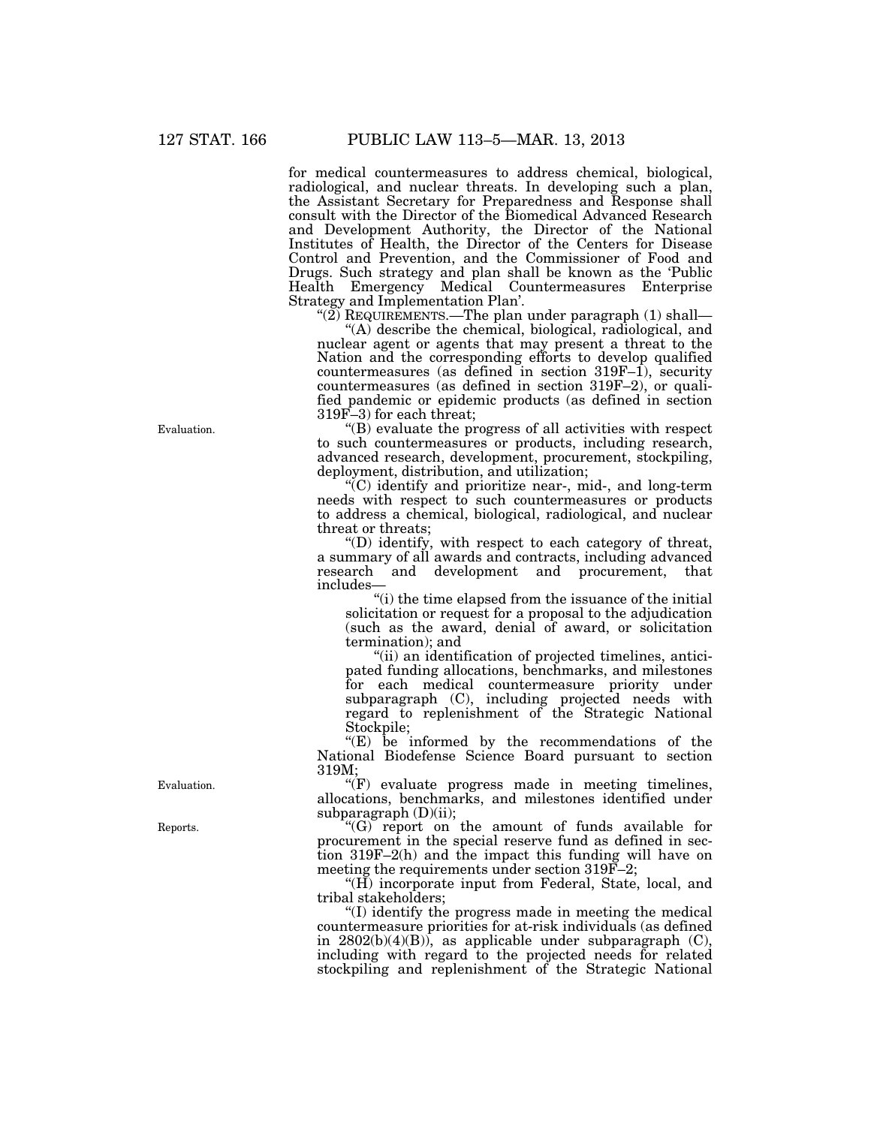for medical countermeasures to address chemical, biological, radiological, and nuclear threats. In developing such a plan, the Assistant Secretary for Preparedness and Response shall consult with the Director of the Biomedical Advanced Research and Development Authority, the Director of the National Institutes of Health, the Director of the Centers for Disease Control and Prevention, and the Commissioner of Food and Drugs. Such strategy and plan shall be known as the 'Public Health Emergency Medical Countermeasures Enterprise Strategy and Implementation Plan'.

''(2) REQUIREMENTS.—The plan under paragraph (1) shall—

''(A) describe the chemical, biological, radiological, and nuclear agent or agents that may present a threat to the Nation and the corresponding efforts to develop qualified countermeasures (as defined in section 319F–1), security countermeasures (as defined in section 319F–2), or qualified pandemic or epidemic products (as defined in section 319F–3) for each threat;

''(B) evaluate the progress of all activities with respect to such countermeasures or products, including research, advanced research, development, procurement, stockpiling, deployment, distribution, and utilization;

''(C) identify and prioritize near-, mid-, and long-term needs with respect to such countermeasures or products to address a chemical, biological, radiological, and nuclear threat or threats;

''(D) identify, with respect to each category of threat, a summary of all awards and contracts, including advanced research and development and procurement, that includes—

''(i) the time elapsed from the issuance of the initial solicitation or request for a proposal to the adjudication (such as the award, denial of award, or solicitation termination); and

''(ii) an identification of projected timelines, anticipated funding allocations, benchmarks, and milestones for each medical countermeasure priority under subparagraph (C), including projected needs with regard to replenishment of the Strategic National Stockpile;

''(E) be informed by the recommendations of the National Biodefense Science Board pursuant to section 319M;

 $(F)$  evaluate progress made in meeting timelines, allocations, benchmarks, and milestones identified under subparagraph (D)(ii);

''(G) report on the amount of funds available for procurement in the special reserve fund as defined in section 319F–2(h) and the impact this funding will have on meeting the requirements under section 319F–2;

"(H) incorporate input from Federal, State, local, and tribal stakeholders;

''(I) identify the progress made in meeting the medical countermeasure priorities for at-risk individuals (as defined in  $2802(b)(4)(B)$ , as applicable under subparagraph  $(C)$ , including with regard to the projected needs for related stockpiling and replenishment of the Strategic National

Evaluation.

Evaluation.

Reports.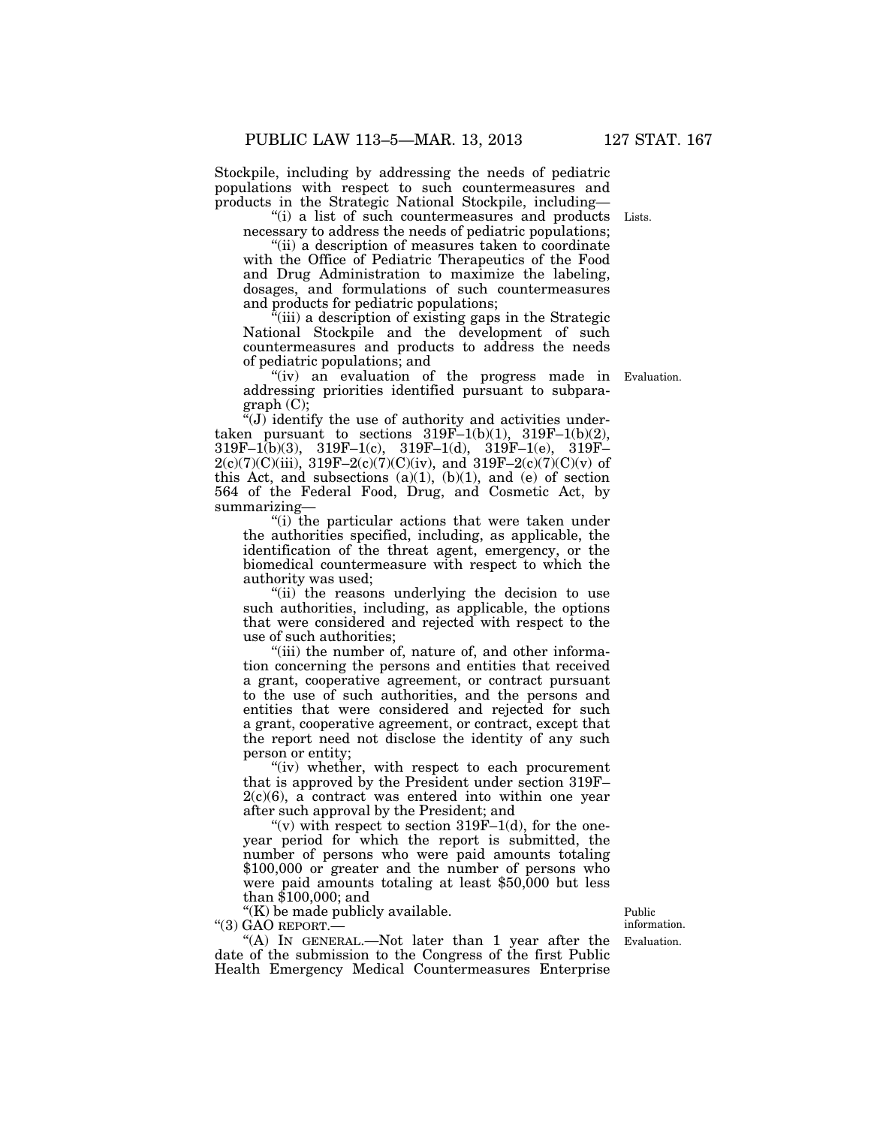Stockpile, including by addressing the needs of pediatric populations with respect to such countermeasures and products in the Strategic National Stockpile, including—

"(i) a list of such countermeasures and products Lists. necessary to address the needs of pediatric populations;

''(ii) a description of measures taken to coordinate with the Office of Pediatric Therapeutics of the Food and Drug Administration to maximize the labeling, dosages, and formulations of such countermeasures and products for pediatric populations;

''(iii) a description of existing gaps in the Strategic National Stockpile and the development of such countermeasures and products to address the needs of pediatric populations; and

"(iv) an evaluation of the progress made in Evaluation. addressing priorities identified pursuant to subparagraph (C);

 $\sqrt[\alpha]{(J)}$  identify the use of authority and activities undertaken pursuant to sections  $319F-1(b)(1)$ ,  $319F-1(b)(2)$ ,  $319F-1(b)(3)$ ,  $319F-1(c)$ ,  $319F-1(d)$ ,  $319F-1(e)$ ,  $319F-$ 2(c)(7)(C)(iii), 319F-2(c)(7)(C)(iv), and 319F-2(c)(7)(C)(v) of this Act, and subsections  $(a)(1)$ ,  $(b)(1)$ , and  $(e)$  of section 564 of the Federal Food, Drug, and Cosmetic Act, by summarizing—

''(i) the particular actions that were taken under the authorities specified, including, as applicable, the identification of the threat agent, emergency, or the biomedical countermeasure with respect to which the authority was used;

"(ii) the reasons underlying the decision to use such authorities, including, as applicable, the options that were considered and rejected with respect to the use of such authorities;

"(iii) the number of, nature of, and other information concerning the persons and entities that received a grant, cooperative agreement, or contract pursuant to the use of such authorities, and the persons and entities that were considered and rejected for such a grant, cooperative agreement, or contract, except that the report need not disclose the identity of any such person or entity;

"(iv) whether, with respect to each procurement that is approved by the President under section 319F–  $2(c)(6)$ , a contract was entered into within one year after such approval by the President; and

"(v) with respect to section  $319F-1(d)$ , for the oneyear period for which the report is submitted, the number of persons who were paid amounts totaling \$100,000 or greater and the number of persons who were paid amounts totaling at least \$50,000 but less than \$100,000; and

''(K) be made publicly available.

''(3) GAO REPORT.—

"(A) IN GENERAL.—Not later than 1 year after the date of the submission to the Congress of the first Public Health Emergency Medical Countermeasures Enterprise

Evaluation. Public information.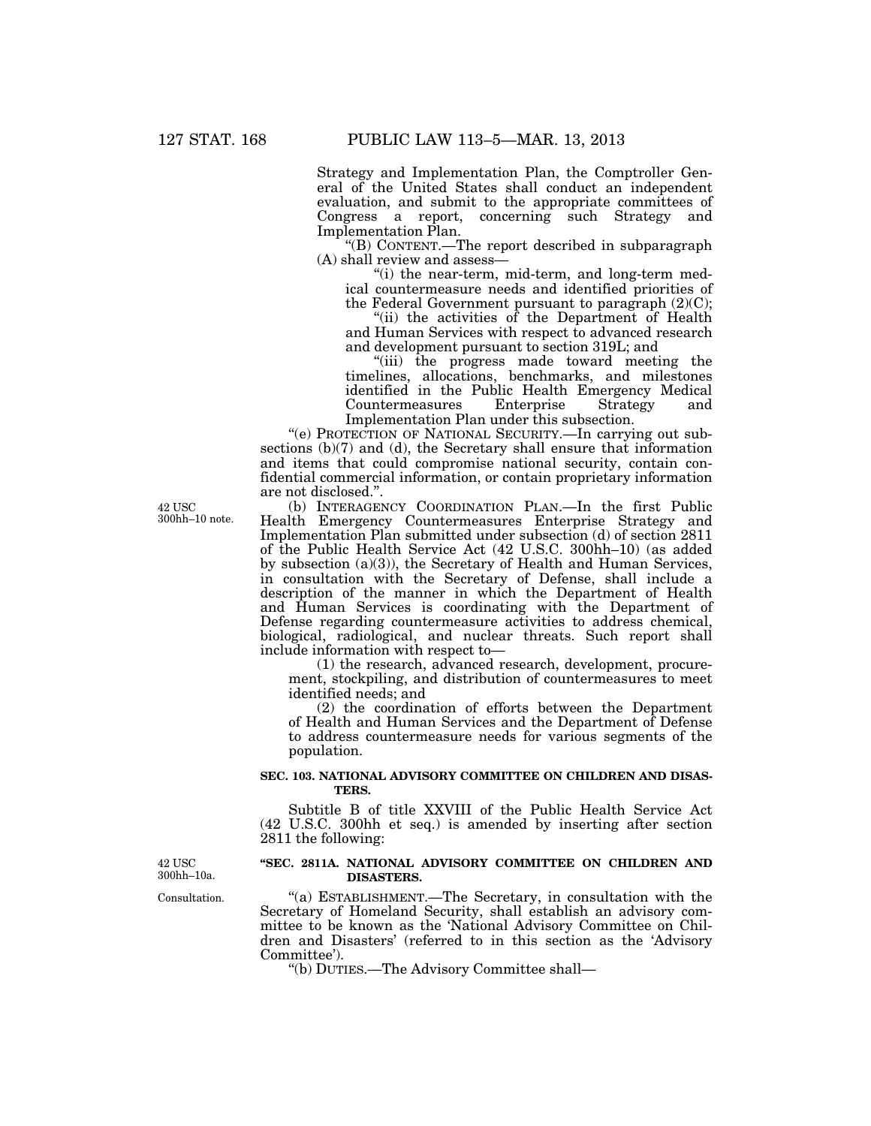Strategy and Implementation Plan, the Comptroller General of the United States shall conduct an independent evaluation, and submit to the appropriate committees of Congress a report, concerning such Strategy and Implementation Plan.

''(B) CONTENT.—The report described in subparagraph (A) shall review and assess—

"(i) the near-term, mid-term, and long-term medical countermeasure needs and identified priorities of the Federal Government pursuant to paragraph  $(2)(C)$ ;

''(ii) the activities of the Department of Health and Human Services with respect to advanced research and development pursuant to section 319L; and

''(iii) the progress made toward meeting the timelines, allocations, benchmarks, and milestones identified in the Public Health Emergency Medical Countermeasures Enterprise Strategy and Implementation Plan under this subsection.

''(e) PROTECTION OF NATIONAL SECURITY.—In carrying out subsections (b)(7) and (d), the Secretary shall ensure that information and items that could compromise national security, contain confidential commercial information, or contain proprietary information are not disclosed.''.

(b) INTERAGENCY COORDINATION PLAN.—In the first Public Health Emergency Countermeasures Enterprise Strategy and Implementation Plan submitted under subsection (d) of section 2811 of the Public Health Service Act (42 U.S.C. 300hh–10) (as added by subsection (a)(3)), the Secretary of Health and Human Services, in consultation with the Secretary of Defense, shall include a description of the manner in which the Department of Health and Human Services is coordinating with the Department of Defense regarding countermeasure activities to address chemical, biological, radiological, and nuclear threats. Such report shall include information with respect to—

(1) the research, advanced research, development, procurement, stockpiling, and distribution of countermeasures to meet identified needs; and

(2) the coordination of efforts between the Department of Health and Human Services and the Department of Defense to address countermeasure needs for various segments of the population.

## **SEC. 103. NATIONAL ADVISORY COMMITTEE ON CHILDREN AND DISAS-TERS.**

Subtitle B of title XXVIII of the Public Health Service Act (42 U.S.C. 300hh et seq.) is amended by inserting after section 2811 the following:

42 USC 300hh–10a.

## **''SEC. 2811A. NATIONAL ADVISORY COMMITTEE ON CHILDREN AND DISASTERS.**

''(a) ESTABLISHMENT.—The Secretary, in consultation with the Secretary of Homeland Security, shall establish an advisory committee to be known as the 'National Advisory Committee on Children and Disasters' (referred to in this section as the 'Advisory Committee').

''(b) DUTIES.—The Advisory Committee shall—

42 USC 300hh–10 note.

Consultation.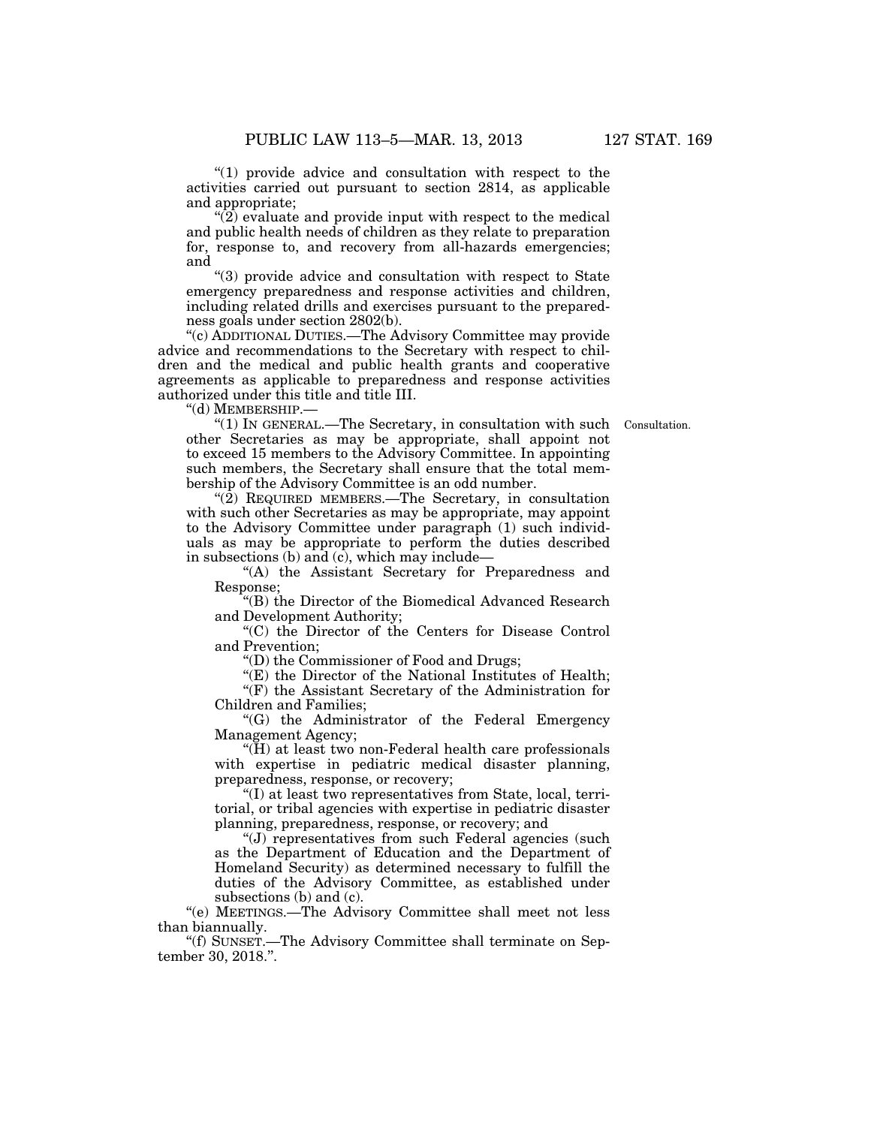" $(1)$  provide advice and consultation with respect to the activities carried out pursuant to section 2814, as applicable and appropriate;

 $\sqrt{\left(2\right)}$  evaluate and provide input with respect to the medical and public health needs of children as they relate to preparation for, response to, and recovery from all-hazards emergencies; and

''(3) provide advice and consultation with respect to State emergency preparedness and response activities and children, including related drills and exercises pursuant to the preparedness goals under section 2802(b).

''(c) ADDITIONAL DUTIES.—The Advisory Committee may provide advice and recommendations to the Secretary with respect to children and the medical and public health grants and cooperative agreements as applicable to preparedness and response activities authorized under this title and title III.

''(d) MEMBERSHIP.—

Consultation.

''(1) IN GENERAL.—The Secretary, in consultation with such other Secretaries as may be appropriate, shall appoint not to exceed 15 members to the Advisory Committee. In appointing such members, the Secretary shall ensure that the total membership of the Advisory Committee is an odd number.

''(2) REQUIRED MEMBERS.—The Secretary, in consultation with such other Secretaries as may be appropriate, may appoint to the Advisory Committee under paragraph (1) such individuals as may be appropriate to perform the duties described in subsections (b) and (c), which may include—

''(A) the Assistant Secretary for Preparedness and Response;

''(B) the Director of the Biomedical Advanced Research and Development Authority;

''(C) the Director of the Centers for Disease Control and Prevention;

''(D) the Commissioner of Food and Drugs;

"(E) the Director of the National Institutes of Health; ''(F) the Assistant Secretary of the Administration for

Children and Families;

''(G) the Administrator of the Federal Emergency Management Agency;

''(H) at least two non-Federal health care professionals with expertise in pediatric medical disaster planning, preparedness, response, or recovery;

''(I) at least two representatives from State, local, territorial, or tribal agencies with expertise in pediatric disaster planning, preparedness, response, or recovery; and

''(J) representatives from such Federal agencies (such as the Department of Education and the Department of Homeland Security) as determined necessary to fulfill the duties of the Advisory Committee, as established under subsections (b) and (c).

''(e) MEETINGS.—The Advisory Committee shall meet not less than biannually.

''(f) SUNSET.—The Advisory Committee shall terminate on September 30, 2018.''.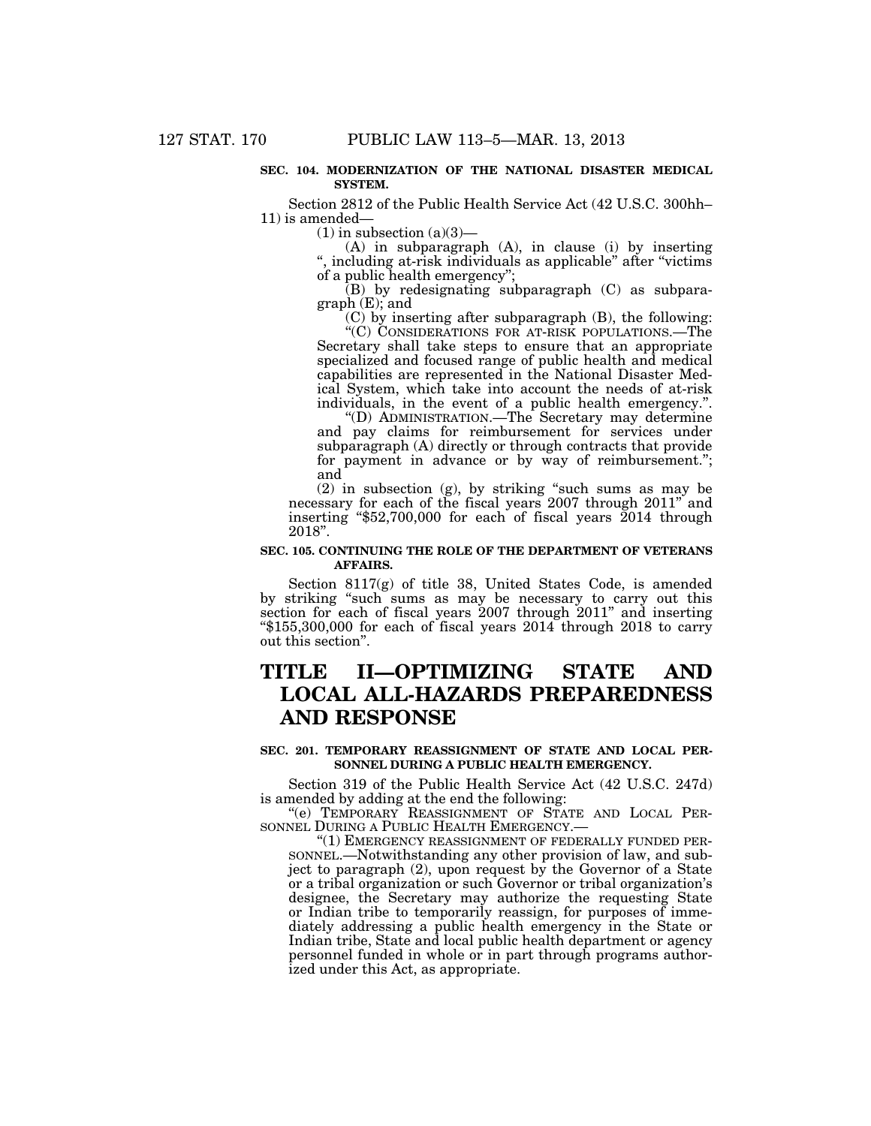### **SEC. 104. MODERNIZATION OF THE NATIONAL DISASTER MEDICAL SYSTEM.**

Section 2812 of the Public Health Service Act (42 U.S.C. 300hh– 11) is amended—

 $(1)$  in subsection  $(a)(3)$ —

(A) in subparagraph (A), in clause (i) by inserting '', including at-risk individuals as applicable'' after ''victims of a public health emergency'';

(B) by redesignating subparagraph (C) as subparagraph (E); and

(C) by inserting after subparagraph (B), the following:

''(C) CONSIDERATIONS FOR AT-RISK POPULATIONS.—The Secretary shall take steps to ensure that an appropriate specialized and focused range of public health and medical capabilities are represented in the National Disaster Medical System, which take into account the needs of at-risk individuals, in the event of a public health emergency.''.

''(D) ADMINISTRATION.—The Secretary may determine and pay claims for reimbursement for services under subparagraph (A) directly or through contracts that provide for payment in advance or by way of reimbursement.''; and

(2) in subsection (g), by striking ''such sums as may be necessary for each of the fiscal years 2007 through 2011'' and inserting ''\$52,700,000 for each of fiscal years 2014 through 2018''.

## **SEC. 105. CONTINUING THE ROLE OF THE DEPARTMENT OF VETERANS AFFAIRS.**

Section 8117(g) of title 38, United States Code, is amended by striking ''such sums as may be necessary to carry out this section for each of fiscal years 2007 through 2011'' and inserting ''\$155,300,000 for each of fiscal years 2014 through 2018 to carry out this section''.

## **TITLE II—OPTIMIZING STATE AND LOCAL ALL-HAZARDS PREPAREDNESS AND RESPONSE**

## **SEC. 201. TEMPORARY REASSIGNMENT OF STATE AND LOCAL PER-SONNEL DURING A PUBLIC HEALTH EMERGENCY.**

Section 319 of the Public Health Service Act (42 U.S.C. 247d) is amended by adding at the end the following:

''(e) TEMPORARY REASSIGNMENT OF STATE AND LOCAL PER-SONNEL DURING A PUBLIC HEALTH EMERGENCY.—

''(1) EMERGENCY REASSIGNMENT OF FEDERALLY FUNDED PER-SONNEL.—Notwithstanding any other provision of law, and subject to paragraph (2), upon request by the Governor of a State or a tribal organization or such Governor or tribal organization's designee, the Secretary may authorize the requesting State or Indian tribe to temporarily reassign, for purposes of immediately addressing a public health emergency in the State or Indian tribe, State and local public health department or agency personnel funded in whole or in part through programs authorized under this Act, as appropriate.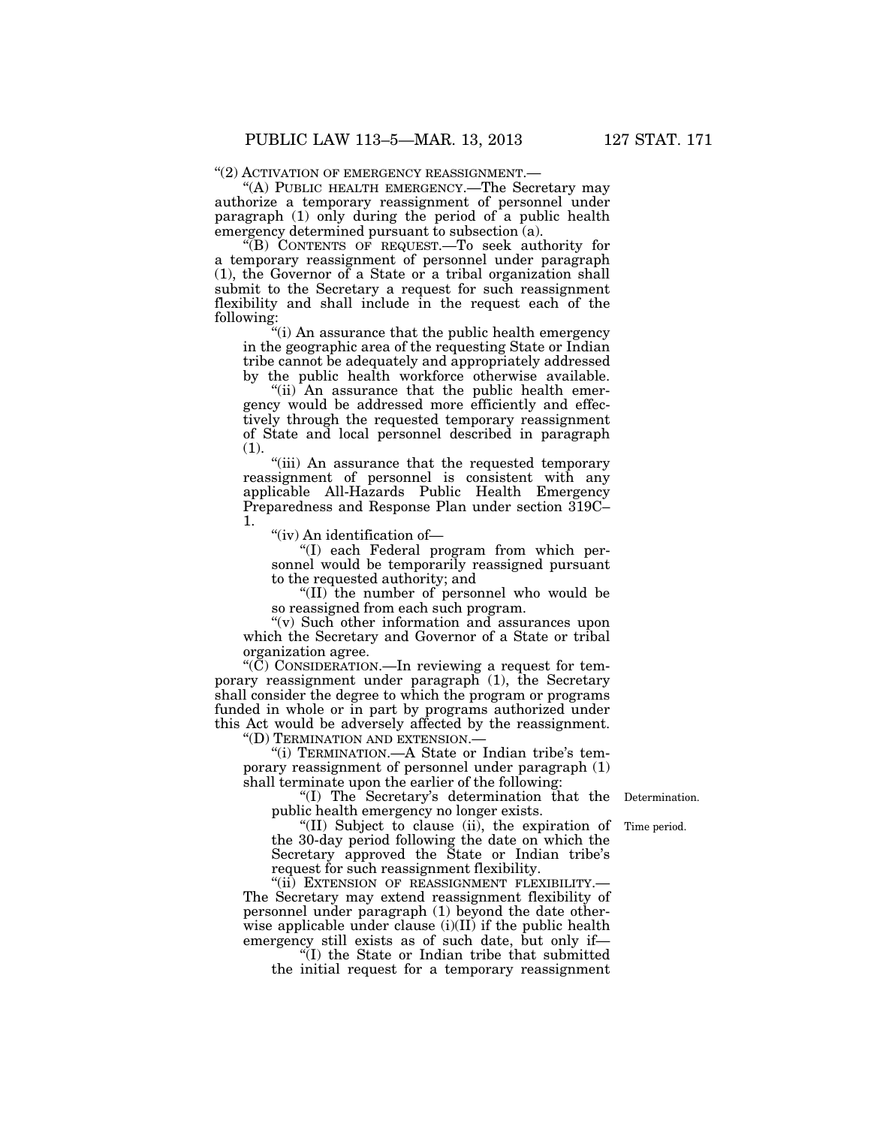"(2) ACTIVATION OF EMERGENCY REASSIGNMENT.-

''(A) PUBLIC HEALTH EMERGENCY.—The Secretary may authorize a temporary reassignment of personnel under paragraph (1) only during the period of a public health emergency determined pursuant to subsection (a).

''(B) CONTENTS OF REQUEST.—To seek authority for a temporary reassignment of personnel under paragraph (1), the Governor of a State or a tribal organization shall submit to the Secretary a request for such reassignment flexibility and shall include in the request each of the following:

"(i) An assurance that the public health emergency in the geographic area of the requesting State or Indian tribe cannot be adequately and appropriately addressed by the public health workforce otherwise available.

"(ii) An assurance that the public health emergency would be addressed more efficiently and effectively through the requested temporary reassignment of State and local personnel described in paragraph  $(1).$ 

"(iii) An assurance that the requested temporary reassignment of personnel is consistent with any applicable All-Hazards Public Health Emergency Preparedness and Response Plan under section 319C– 1.

''(iv) An identification of—

''(I) each Federal program from which personnel would be temporarily reassigned pursuant to the requested authority; and

"(II) the number of personnel who would be so reassigned from each such program.

"(v) Such other information and assurances upon which the Secretary and Governor of a State or tribal organization agree.

" $(\tilde{C})$  CONSIDERATION.—In reviewing a request for temporary reassignment under paragraph (1), the Secretary shall consider the degree to which the program or programs funded in whole or in part by programs authorized under this Act would be adversely affected by the reassignment.

''(D) TERMINATION AND EXTENSION.—

''(i) TERMINATION.—A State or Indian tribe's temporary reassignment of personnel under paragraph (1) shall terminate upon the earlier of the following:

''(I) The Secretary's determination that the public health emergency no longer exists.

**Determination** 

"(II) Subject to clause (ii), the expiration of Time period. the 30-day period following the date on which the Secretary approved the State or Indian tribe's request for such reassignment flexibility.

"(ii) EXTENSION OF REASSIGNMENT FLEXIBILITY .-The Secretary may extend reassignment flexibility of personnel under paragraph (1) beyond the date otherwise applicable under clause  $(i)(II)$  if the public health emergency still exists as of such date, but only if—

''(I) the State or Indian tribe that submitted the initial request for a temporary reassignment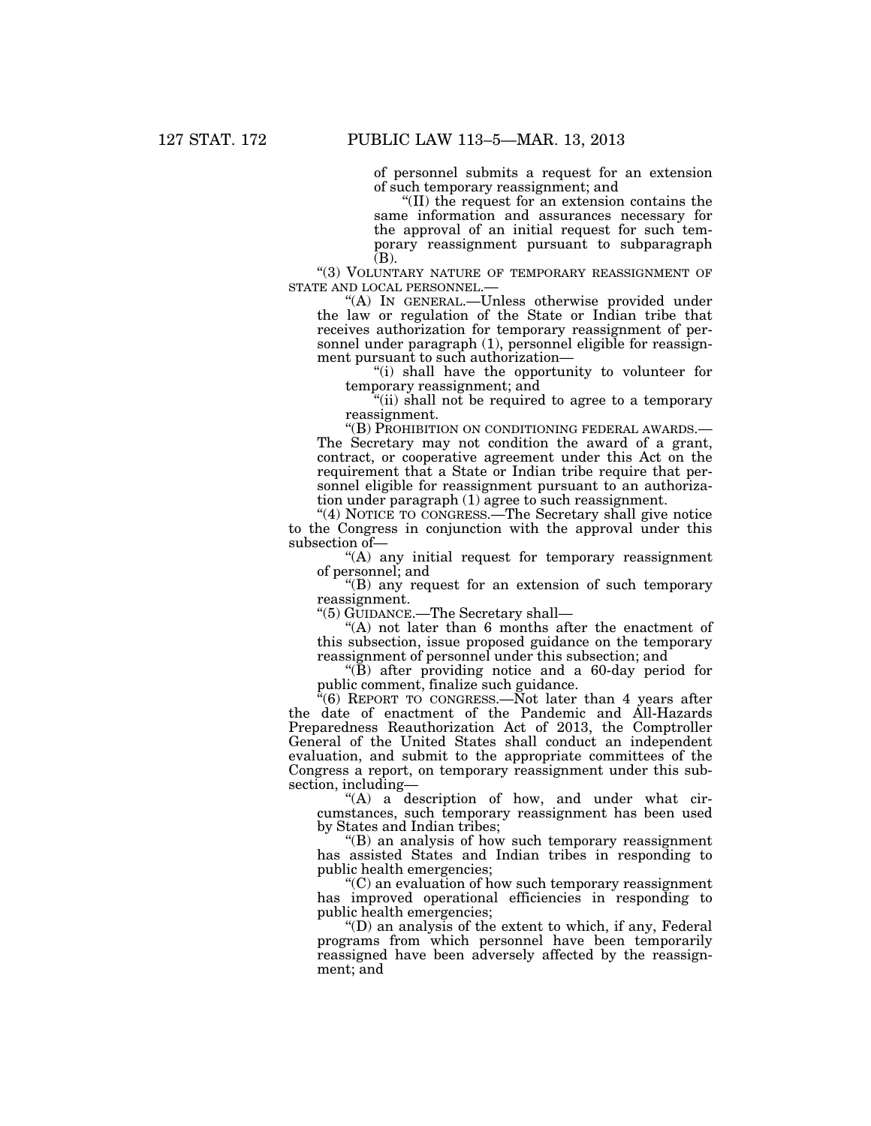of personnel submits a request for an extension of such temporary reassignment; and

''(II) the request for an extension contains the same information and assurances necessary for the approval of an initial request for such temporary reassignment pursuant to subparagraph  $(B)$ .

 $\text{``(3)}$  VOLUNTARY NATURE OF TEMPORARY REASSIGNMENT OF STATE AND LOCAL PERSONNEL.— STATE AND LOCAL PERSONNEL.—<br>"(A) IN GENERAL.—Unless otherwise provided under

the law or regulation of the State or Indian tribe that receives authorization for temporary reassignment of personnel under paragraph (1), personnel eligible for reassignment pursuant to such authorization—

''(i) shall have the opportunity to volunteer for temporary reassignment; and

''(ii) shall not be required to agree to a temporary reassignment.

''(B) PROHIBITION ON CONDITIONING FEDERAL AWARDS.— The Secretary may not condition the award of a grant, contract, or cooperative agreement under this Act on the requirement that a State or Indian tribe require that personnel eligible for reassignment pursuant to an authorization under paragraph (1) agree to such reassignment.

"(4) NOTICE TO CONGRESS.—The Secretary shall give notice to the Congress in conjunction with the approval under this subsection of—

''(A) any initial request for temporary reassignment of personnel; and

''(B) any request for an extension of such temporary reassignment.

''(5) GUIDANCE.—The Secretary shall—

"(A) not later than 6 months after the enactment of this subsection, issue proposed guidance on the temporary reassignment of personnel under this subsection; and

 $\mathrm{H}(\mathbf{\bar{B}})$  after providing notice and a 60-day period for public comment, finalize such guidance.

''(6) REPORT TO CONGRESS.—Not later than 4 years after the date of enactment of the Pandemic and All-Hazards Preparedness Reauthorization Act of 2013, the Comptroller General of the United States shall conduct an independent evaluation, and submit to the appropriate committees of the Congress a report, on temporary reassignment under this subsection, including—

 $(A)$  a description of how, and under what circumstances, such temporary reassignment has been used by States and Indian tribes;

''(B) an analysis of how such temporary reassignment has assisted States and Indian tribes in responding to public health emergencies;

''(C) an evaluation of how such temporary reassignment has improved operational efficiencies in responding to public health emergencies;

''(D) an analysis of the extent to which, if any, Federal programs from which personnel have been temporarily reassigned have been adversely affected by the reassignment; and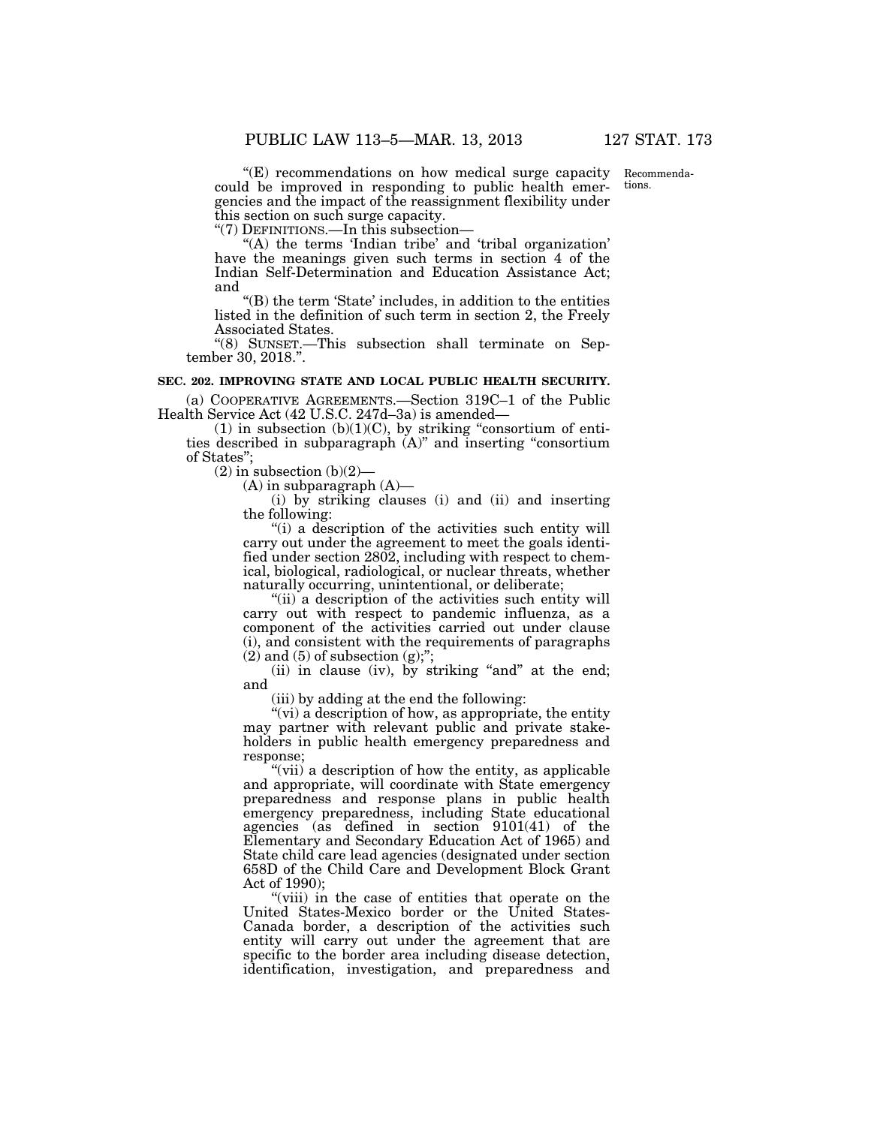tions.

''(E) recommendations on how medical surge capacity could be improved in responding to public health emergencies and the impact of the reassignment flexibility under this section on such surge capacity. Recommenda-

''(7) DEFINITIONS.—In this subsection—

"(A) the terms 'Indian tribe' and 'tribal organization' have the meanings given such terms in section 4 of the Indian Self-Determination and Education Assistance Act; and

''(B) the term 'State' includes, in addition to the entities listed in the definition of such term in section 2, the Freely Associated States.

''(8) SUNSET.—This subsection shall terminate on September 30, 2018.''.

## **SEC. 202. IMPROVING STATE AND LOCAL PUBLIC HEALTH SECURITY.**

(a) COOPERATIVE AGREEMENTS.—Section 319C–1 of the Public Health Service Act (42 U.S.C. 247d–3a) is amended—

(1) in subsection  $(b)(1)(C)$ , by striking "consortium of entities described in subparagraph (A)'' and inserting ''consortium of States'';

 $(2)$  in subsection  $(b)(2)$ 

 $(A)$  in subparagraph  $(A)$ —

(i) by striking clauses (i) and (ii) and inserting the following:

''(i) a description of the activities such entity will carry out under the agreement to meet the goals identified under section 2802, including with respect to chemical, biological, radiological, or nuclear threats, whether naturally occurring, unintentional, or deliberate;

"(ii) a description of the activities such entity will carry out with respect to pandemic influenza, as a component of the activities carried out under clause (i), and consistent with the requirements of paragraphs  $(2)$  and  $(5)$  of subsection  $(g)$ ;";

(ii) in clause (iv), by striking "and" at the end; and

(iii) by adding at the end the following:

"(vi) a description of how, as appropriate, the entity may partner with relevant public and private stakeholders in public health emergency preparedness and response;

"(vii) a description of how the entity, as applicable and appropriate, will coordinate with State emergency preparedness and response plans in public health emergency preparedness, including State educational agencies (as defined in section 9101(41) of the Elementary and Secondary Education Act of 1965) and State child care lead agencies (designated under section 658D of the Child Care and Development Block Grant Act of 1990);

"(viii) in the case of entities that operate on the United States-Mexico border or the United States-Canada border, a description of the activities such entity will carry out under the agreement that are specific to the border area including disease detection, identification, investigation, and preparedness and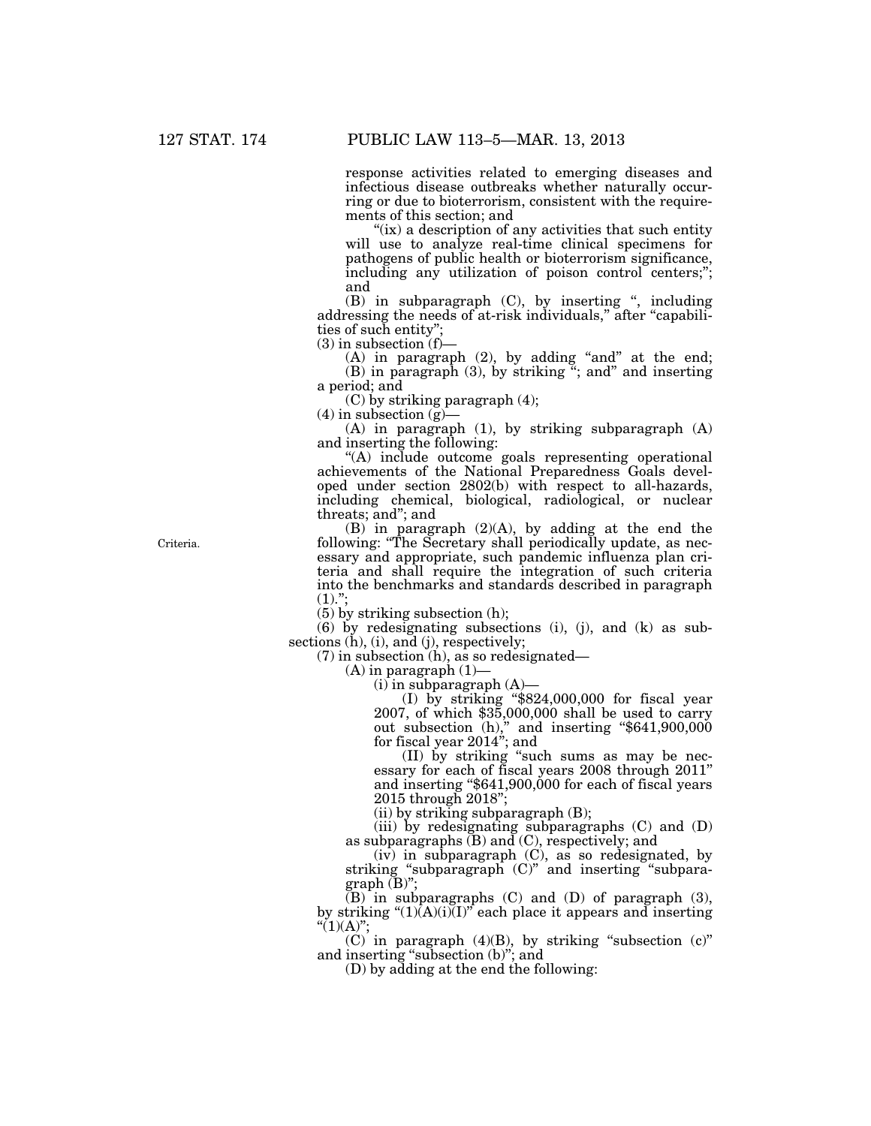response activities related to emerging diseases and infectious disease outbreaks whether naturally occurring or due to bioterrorism, consistent with the requirements of this section; and

"(ix) a description of any activities that such entity" will use to analyze real-time clinical specimens for pathogens of public health or bioterrorism significance, including any utilization of poison control centers;"; and

(B) in subparagraph (C), by inserting '', including addressing the needs of at-risk individuals," after "capabilities of such entity'';

 $(3)$  in subsection  $(f)$ –

 $(A)$  in paragraph  $(2)$ , by adding "and" at the end; (B) in paragraph (3), by striking  $\cdot$ ; and inserting  $\cdot$ a period; and

(C) by striking paragraph (4);

 $(4)$  in subsection  $(g)$ —

(A) in paragraph (1), by striking subparagraph (A) and inserting the following:

''(A) include outcome goals representing operational achievements of the National Preparedness Goals developed under section 2802(b) with respect to all-hazards, including chemical, biological, radiological, or nuclear threats; and''; and

(B) in paragraph (2)(A), by adding at the end the following: "The Secretary shall periodically update, as necessary and appropriate, such pandemic influenza plan criteria and shall require the integration of such criteria into the benchmarks and standards described in paragraph  $(1)$ .";

(5) by striking subsection (h);

(6) by redesignating subsections (i), (j), and (k) as subsections (h), (i), and (j), respectively;

(7) in subsection (h), as so redesignated—

 $(A)$  in paragraph  $(1)$ —

 $(i)$  in subparagraph  $(A)$ —

(I) by striking ''\$824,000,000 for fiscal year 2007, of which \$35,000,000 shall be used to carry out subsection (h)," and inserting "\$641,900,000 for fiscal year 2014''; and

(II) by striking ''such sums as may be necessary for each of fiscal years 2008 through 2011'' and inserting ''\$641,900,000 for each of fiscal years 2015 through 2018'';

(ii) by striking subparagraph (B);

(iii) by redesignating subparagraphs (C) and (D) as subparagraphs  $(B)$  and  $(C)$ , respectively; and

(iv) in subparagraph (C), as so redesignated, by striking ''subparagraph (C)'' and inserting ''subparagraph (B)":

 $(B)$  in subparagraphs  $(C)$  and  $(D)$  of paragraph  $(3)$ , by striking " $(1)(\overline{A})(i)(I)$ " each place it appears and inserting " $(1)(A)$ ";

 $(C)$  in paragraph  $(4)(B)$ , by striking "subsection  $(c)$ " and inserting ''subsection (b)''; and

 $(D)$  by adding at the end the following:

Criteria.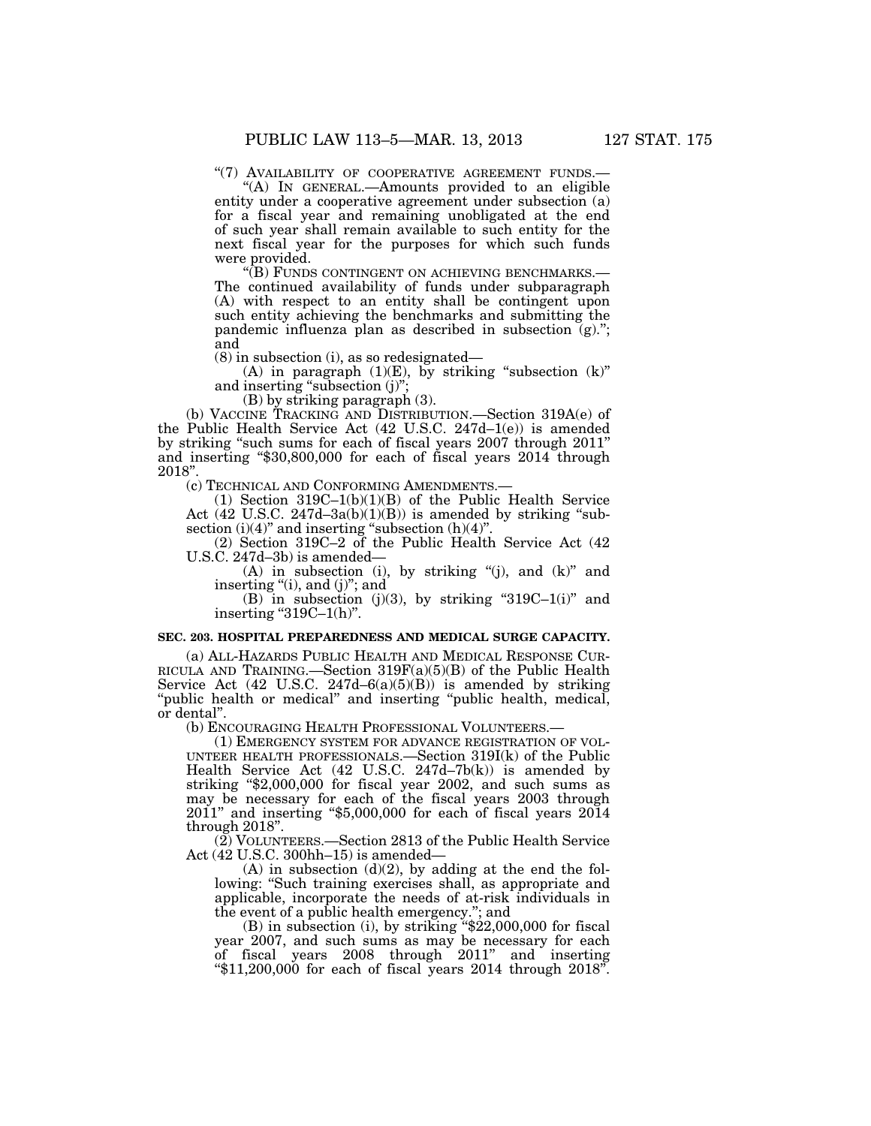''(7) AVAILABILITY OF COOPERATIVE AGREEMENT FUNDS.— ''(A) IN GENERAL.—Amounts provided to an eligible

entity under a cooperative agreement under subsection (a) for a fiscal year and remaining unobligated at the end of such year shall remain available to such entity for the next fiscal year for the purposes for which such funds were provided.<br>"(B) FUNDS CONTINGENT ON ACHIEVING BENCHMARKS.—

The continued availability of funds under subparagraph (A) with respect to an entity shall be contingent upon such entity achieving the benchmarks and submitting the pandemic influenza plan as described in subsection (g).''; and

(8) in subsection (i), as so redesignated—

(A) in paragraph  $(1)(E)$ , by striking "subsection  $(k)$ " and inserting "subsection (j)";

(B) by striking paragraph (3).

(b) VACCINE TRACKING AND DISTRIBUTION.—Section 319A(e) of the Public Health Service Act (42 U.S.C. 247d–1(e)) is amended by striking "such sums for each of fiscal years 2007 through 2011" and inserting "\$30,800,000 for each of fiscal years 2014 through 2018''.

(c) TECHNICAL AND CONFORMING AMENDMENTS.—

(1) Section 319C–1(b)(1)(B) of the Public Health Service Act  $(42 \text{ U.S.C. } 247d - 3a(b)(1)(B))$  is amended by striking "subsection  $(i)(4)$ " and inserting "subsection  $(h)(4)$ ".

(2) Section 319C–2 of the Public Health Service Act (42 U.S.C. 247d–3b) is amended—

(A) in subsection (i), by striking "(j), and  $(k)$ " and inserting "(i), and (j)"; and

(B) in subsection (j)(3), by striking "319C–1(i)" and inserting " $319C-1(h)$ ".

#### **SEC. 203. HOSPITAL PREPAREDNESS AND MEDICAL SURGE CAPACITY.**

(a) ALL-HAZARDS PUBLIC HEALTH AND MEDICAL RESPONSE CUR- RICULA AND TRAINING.—Section 319F(a)(5)(B) of the Public Health Service Act  $(42 \text{ U.S.C. } 247d - 6(a)(5)(B))$  is amended by striking "public health or medical" and inserting "public health, medical, or dental''.

(b) ENCOURAGING HEALTH PROFESSIONAL VOLUNTEERS.—

(1) EMERGENCY SYSTEM FOR ADVANCE REGISTRATION OF VOL-UNTEER HEALTH PROFESSIONALS.—Section 319I(k) of the Public Health Service Act (42 U.S.C. 247d–7b(k)) is amended by striking "\$2,000,000 for fiscal year 2002, and such sums as may be necessary for each of the fiscal years 2003 through 2011'' and inserting ''\$5,000,000 for each of fiscal years 2014 through 2018''.

(2) VOLUNTEERS.—Section 2813 of the Public Health Service Act (42 U.S.C. 300hh–15) is amended—

 $(A)$  in subsection  $(d)(2)$ , by adding at the end the following: "Such training exercises shall, as appropriate and applicable, incorporate the needs of at-risk individuals in the event of a public health emergency.''; and

(B) in subsection (i), by striking ''\$22,000,000 for fiscal year 2007, and such sums as may be necessary for each of fiscal years 2008 through 2011'' and inserting " $$11,200,000$  for each of fiscal years 2014 through 2018".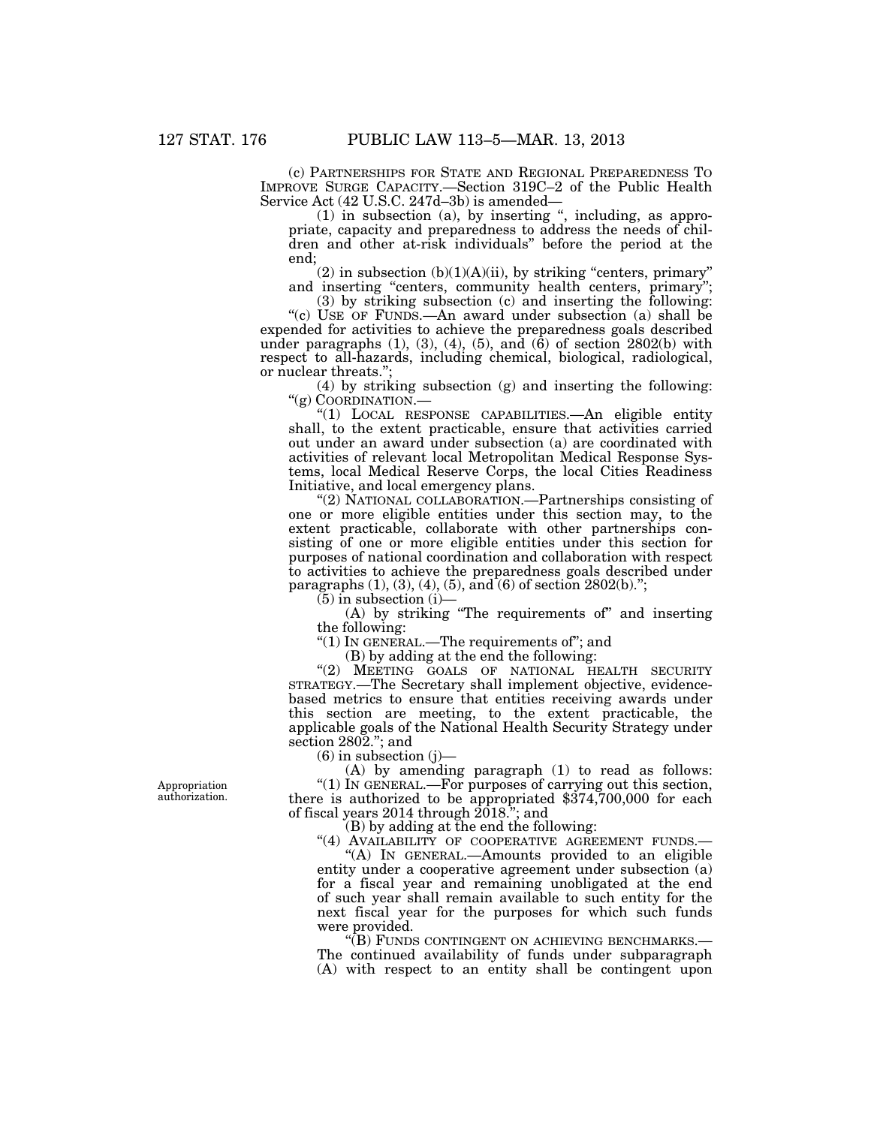(c) PARTNERSHIPS FOR STATE AND REGIONAL PREPAREDNESS TO IMPROVE SURGE CAPACITY.—Section 319C–2 of the Public Health Service Act (42 U.S.C. 247d–3b) is amended—

(1) in subsection (a), by inserting '', including, as appropriate, capacity and preparedness to address the needs of children and other at-risk individuals'' before the period at the end;

 $(2)$  in subsection  $(b)(1)(A)(ii)$ , by striking "centers, primary" and inserting "centers, community health centers, primary";

(3) by striking subsection (c) and inserting the following: ''(c) USE OF FUNDS.—An award under subsection (a) shall be expended for activities to achieve the preparedness goals described under paragraphs  $(1)$ ,  $(3)$ ,  $(4)$ ,  $(5)$ , and  $(\hat{6})$  of section 2802 $(b)$  with respect to all-hazards, including chemical, biological, radiological, or nuclear threats.'';

(4) by striking subsection (g) and inserting the following: "(g) COORDINATION.-

''(1) LOCAL RESPONSE CAPABILITIES.—An eligible entity shall, to the extent practicable, ensure that activities carried out under an award under subsection (a) are coordinated with activities of relevant local Metropolitan Medical Response Systems, local Medical Reserve Corps, the local Cities Readiness Initiative, and local emergency plans.

"(2) NATIONAL COLLABORATION.—Partnerships consisting of one or more eligible entities under this section may, to the extent practicable, collaborate with other partnerships consisting of one or more eligible entities under this section for purposes of national coordination and collaboration with respect to activities to achieve the preparedness goals described under paragraphs  $(1)$ ,  $(3)$ ,  $(4)$ ,  $(5)$ , and  $(6)$  of section 2802(b).";

 $(5)$  in subsection  $(i)$ —

(A) by striking ''The requirements of'' and inserting the following:

" $(1)$  In GENERAL.—The requirements of"; and

(B) by adding at the end the following:

"(2) MEETING GOALS OF NATIONAL HEALTH SECURITY STRATEGY.—The Secretary shall implement objective, evidencebased metrics to ensure that entities receiving awards under this section are meeting, to the extent practicable, the applicable goals of the National Health Security Strategy under section 2802.''; and

 $(6)$  in subsection  $(j)$ —

(A) by amending paragraph (1) to read as follows: ''(1) IN GENERAL.—For purposes of carrying out this section, there is authorized to be appropriated \$374,700,000 for each of fiscal years  $2014$  through  $2018$ ."; and

(B) by adding at the end the following:

"(4) AVAILABILITY OF COOPERATIVE AGREEMENT FUNDS.-

''(A) IN GENERAL.—Amounts provided to an eligible entity under a cooperative agreement under subsection (a) for a fiscal year and remaining unobligated at the end of such year shall remain available to such entity for the next fiscal year for the purposes for which such funds were provided.<br>"(B) FUNDS CONTINGENT ON ACHIEVING BENCHMARKS.—

The continued availability of funds under subparagraph (A) with respect to an entity shall be contingent upon

Appropriation authorization.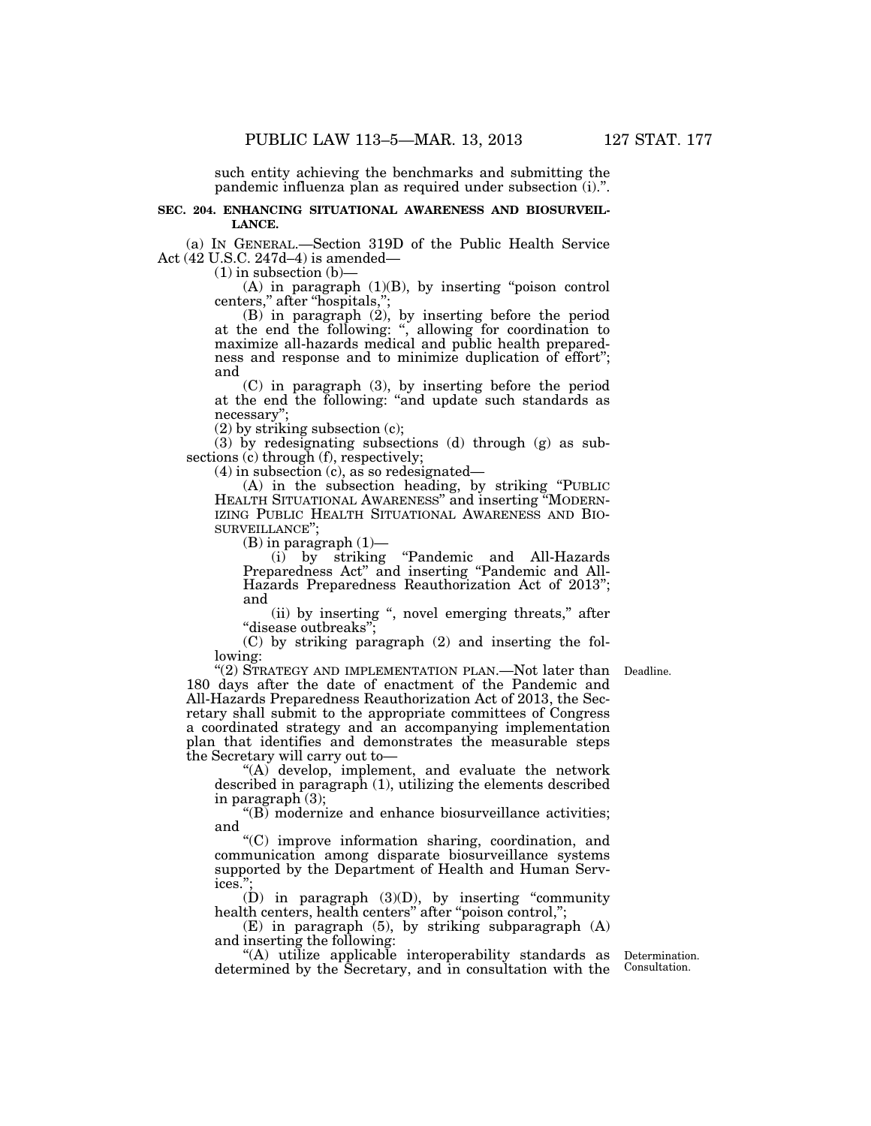such entity achieving the benchmarks and submitting the pandemic influenza plan as required under subsection (i).''.

## **SEC. 204. ENHANCING SITUATIONAL AWARENESS AND BIOSURVEIL-LANCE.**

(a) IN GENERAL.—Section 319D of the Public Health Service Act (42 U.S.C. 247d–4) is amended—

 $(1)$  in subsection  $(b)$ —

 $(A)$  in paragraph  $(1)(B)$ , by inserting "poison control centers,'' after ''hospitals,'';

(B) in paragraph (2), by inserting before the period at the end the following: '', allowing for coordination to maximize all-hazards medical and public health preparedness and response and to minimize duplication of effort''; and

(C) in paragraph (3), by inserting before the period at the end the following: ''and update such standards as necessary'';

(2) by striking subsection (c);

(3) by redesignating subsections (d) through (g) as subsections (c) through (f), respectively;

(4) in subsection (c), as so redesignated—

(A) in the subsection heading, by striking ''PUBLIC HEALTH SITUATIONAL AWARENESS'' and inserting ''MODERN-IZING PUBLIC HEALTH SITUATIONAL AWARENESS AND BIO-SURVEILLANCE'';

 $(B)$  in paragraph  $(1)$ —

(i) by striking ''Pandemic and All-Hazards Preparedness Act'' and inserting ''Pandemic and All-Hazards Preparedness Reauthorization Act of 2013''; and

(ii) by inserting '', novel emerging threats,'' after ''disease outbreaks'';

(C) by striking paragraph (2) and inserting the following:

"(2) STRATEGY AND IMPLEMENTATION PLAN.—Not later than Deadline. 180 days after the date of enactment of the Pandemic and All-Hazards Preparedness Reauthorization Act of 2013, the Secretary shall submit to the appropriate committees of Congress a coordinated strategy and an accompanying implementation plan that identifies and demonstrates the measurable steps the Secretary will carry out to—

"(A) develop, implement, and evaluate the network described in paragraph (1), utilizing the elements described in paragraph (3);

"(B) modernize and enhance biosurveillance activities; and

''(C) improve information sharing, coordination, and communication among disparate biosurveillance systems supported by the Department of Health and Human Services.'';

 $(D)$  in paragraph  $(3)(D)$ , by inserting "community health centers, health centers" after "poison control,";

(E) in paragraph (5), by striking subparagraph (A) and inserting the following:

''(A) utilize applicable interoperability standards as Determination. determined by the Secretary, and in consultation with the

Consultation.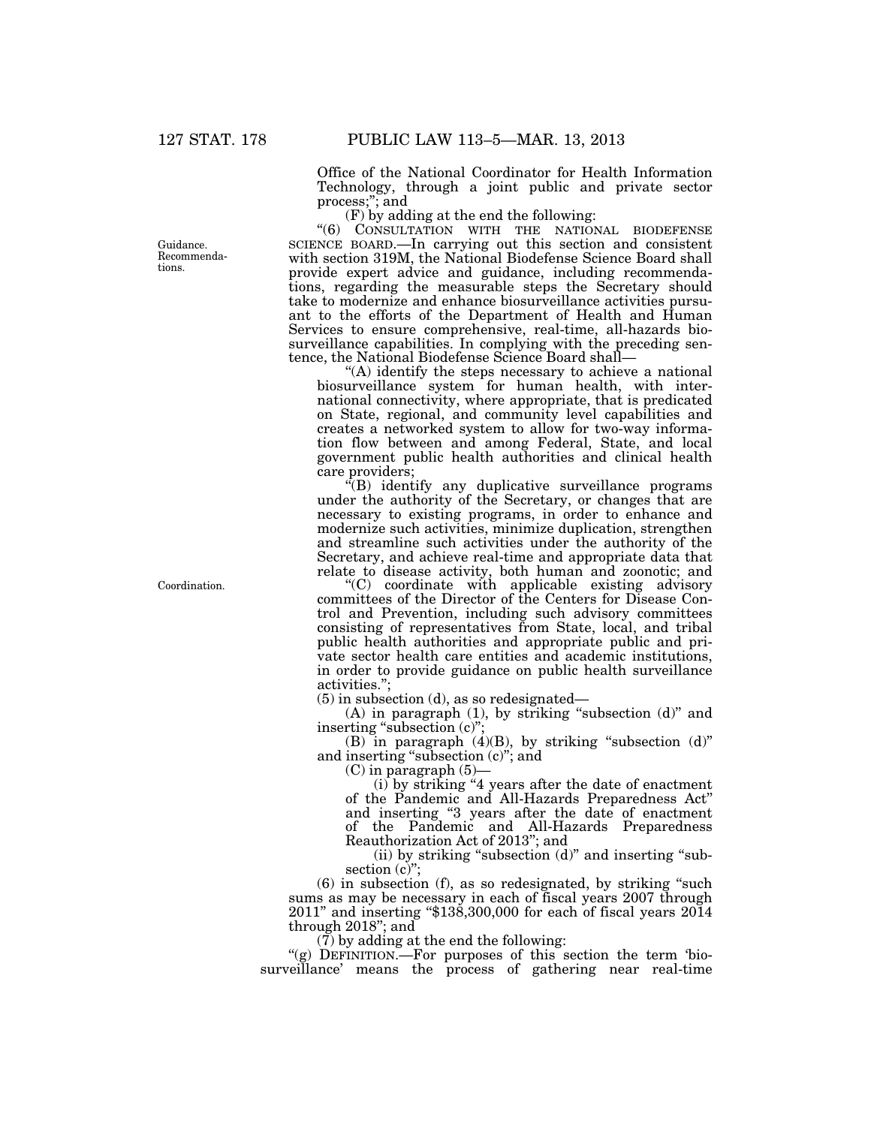Office of the National Coordinator for Health Information Technology, through a joint public and private sector process;''; and

(F) by adding at the end the following:

''(6) CONSULTATION WITH THE NATIONAL BIODEFENSE SCIENCE BOARD.—In carrying out this section and consistent with section 319M, the National Biodefense Science Board shall provide expert advice and guidance, including recommendations, regarding the measurable steps the Secretary should take to modernize and enhance biosurveillance activities pursuant to the efforts of the Department of Health and Human Services to ensure comprehensive, real-time, all-hazards biosurveillance capabilities. In complying with the preceding sentence, the National Biodefense Science Board shall—

''(A) identify the steps necessary to achieve a national biosurveillance system for human health, with international connectivity, where appropriate, that is predicated on State, regional, and community level capabilities and creates a networked system to allow for two-way information flow between and among Federal, State, and local government public health authorities and clinical health care providers;

 $\cdot$ <sup>c</sup>(B) identify any duplicative surveillance programs under the authority of the Secretary, or changes that are necessary to existing programs, in order to enhance and modernize such activities, minimize duplication, strengthen and streamline such activities under the authority of the Secretary, and achieve real-time and appropriate data that relate to disease activity, both human and zoonotic; and

''(C) coordinate with applicable existing advisory committees of the Director of the Centers for Disease Control and Prevention, including such advisory committees consisting of representatives from State, local, and tribal public health authorities and appropriate public and private sector health care entities and academic institutions, in order to provide guidance on public health surveillance activities.'';

(5) in subsection (d), as so redesignated—

(A) in paragraph (1), by striking "subsection (d)" and inserting "subsection (c)"

(B) in paragraph  $(4)(B)$ , by striking "subsection  $(d)$ " and inserting ''subsection (c)''; and

 $(C)$  in paragraph  $(5)$ 

(i) by striking ''4 years after the date of enactment of the Pandemic and All-Hazards Preparedness Act'' and inserting ''3 years after the date of enactment of the Pandemic and All-Hazards Preparedness Reauthorization Act of 2013''; and

 $(ii)$  by striking "subsection  $(d)$ " and inserting "subsection  $(c)$ ";

(6) in subsection (f), as so redesignated, by striking ''such sums as may be necessary in each of fiscal years 2007 through 2011'' and inserting ''\$138,300,000 for each of fiscal years 2014 through 2018''; and

(7) by adding at the end the following:

"(g) DEFINITION.—For purposes of this section the term 'biosurveillance' means the process of gathering near real-time

Guidance. Recommendations.

Coordination.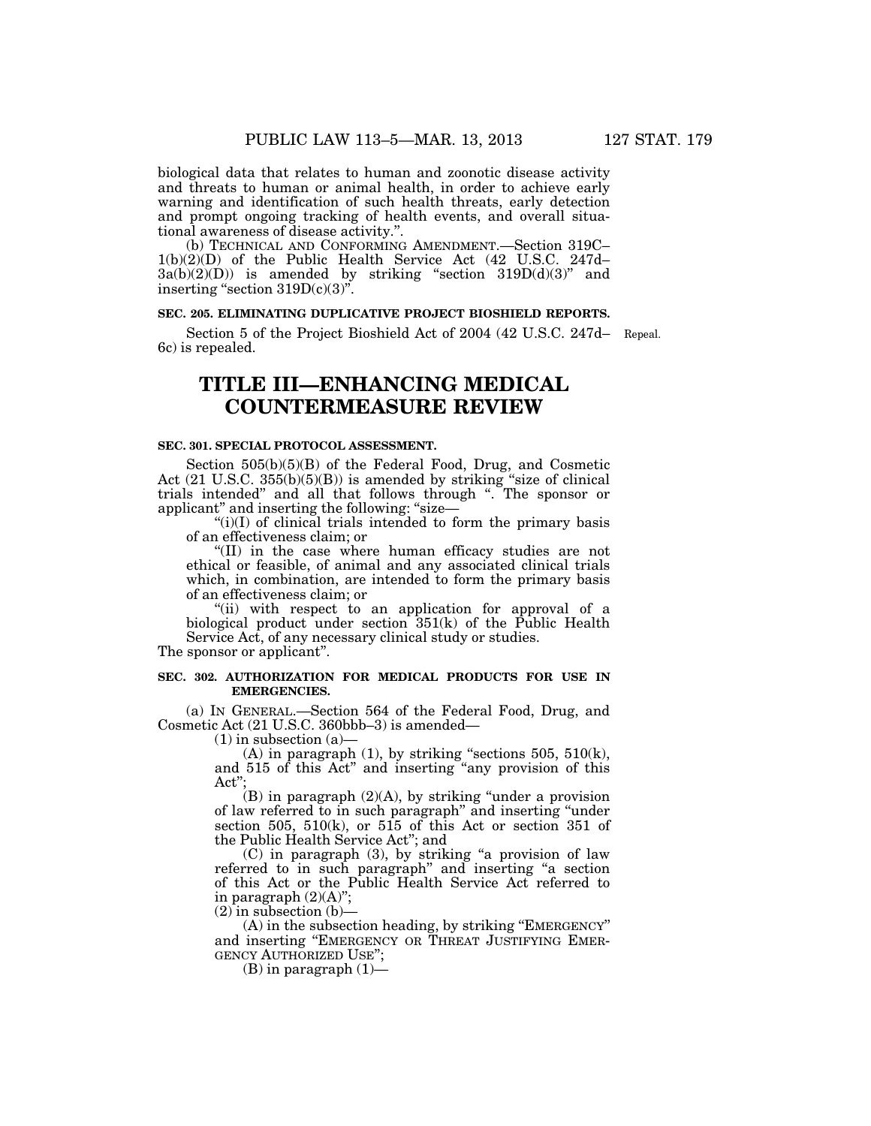biological data that relates to human and zoonotic disease activity and threats to human or animal health, in order to achieve early warning and identification of such health threats, early detection and prompt ongoing tracking of health events, and overall situational awareness of disease activity.''.

(b) TECHNICAL AND CONFORMING AMENDMENT.—Section 319C– 1(b)(2)(D) of the Public Health Service Act (42 U.S.C. 247d–  $3a(b)(2)(D)$  is amended by striking "section  $319D(d)(3)$ " and inserting "section  $319D(c)(3)$ ".

## **SEC. 205. ELIMINATING DUPLICATIVE PROJECT BIOSHIELD REPORTS.**

Section 5 of the Project Bioshield Act of 2004 (42 U.S.C. 247d– Repeal. 6c) is repealed.

## **TITLE III—ENHANCING MEDICAL COUNTERMEASURE REVIEW**

## **SEC. 301. SPECIAL PROTOCOL ASSESSMENT.**

Section 505(b)(5)(B) of the Federal Food, Drug, and Cosmetic Act (21 U.S.C. 355(b)(5)(B)) is amended by striking "size of clinical trials intended'' and all that follows through ''. The sponsor or applicant'' and inserting the following: ''size—

 $(ii)(I)$  of clinical trials intended to form the primary basis of an effectiveness claim; or

''(II) in the case where human efficacy studies are not ethical or feasible, of animal and any associated clinical trials which, in combination, are intended to form the primary basis of an effectiveness claim; or

''(ii) with respect to an application for approval of a biological product under section 351(k) of the Public Health Service Act, of any necessary clinical study or studies.

The sponsor or applicant''.

## **SEC. 302. AUTHORIZATION FOR MEDICAL PRODUCTS FOR USE IN EMERGENCIES.**

(a) IN GENERAL.—Section 564 of the Federal Food, Drug, and Cosmetic Act (21 U.S.C. 360bbb–3) is amended—

 $(1)$  in subsection  $(a)$ —

(A) in paragraph  $(1)$ , by striking "sections 505, 510 $(k)$ , and 515 of this Act'' and inserting ''any provision of this Act'';

 $(B)$  in paragraph  $(2)(A)$ , by striking "under a provision of law referred to in such paragraph'' and inserting ''under section 505,  $510(k)$ , or 515 of this Act or section 351 of the Public Health Service Act''; and

(C) in paragraph (3), by striking ''a provision of law referred to in such paragraph'' and inserting ''a section of this Act or the Public Health Service Act referred to in paragraph  $(2)(A)$ ";

 $(2)$  in subsection  $(b)$ —

(A) in the subsection heading, by striking ''EMERGENCY'' and inserting ''EMERGENCY OR THREAT JUSTIFYING EMER-GENCY AUTHORIZED USE'';

(B) in paragraph  $(1)$ —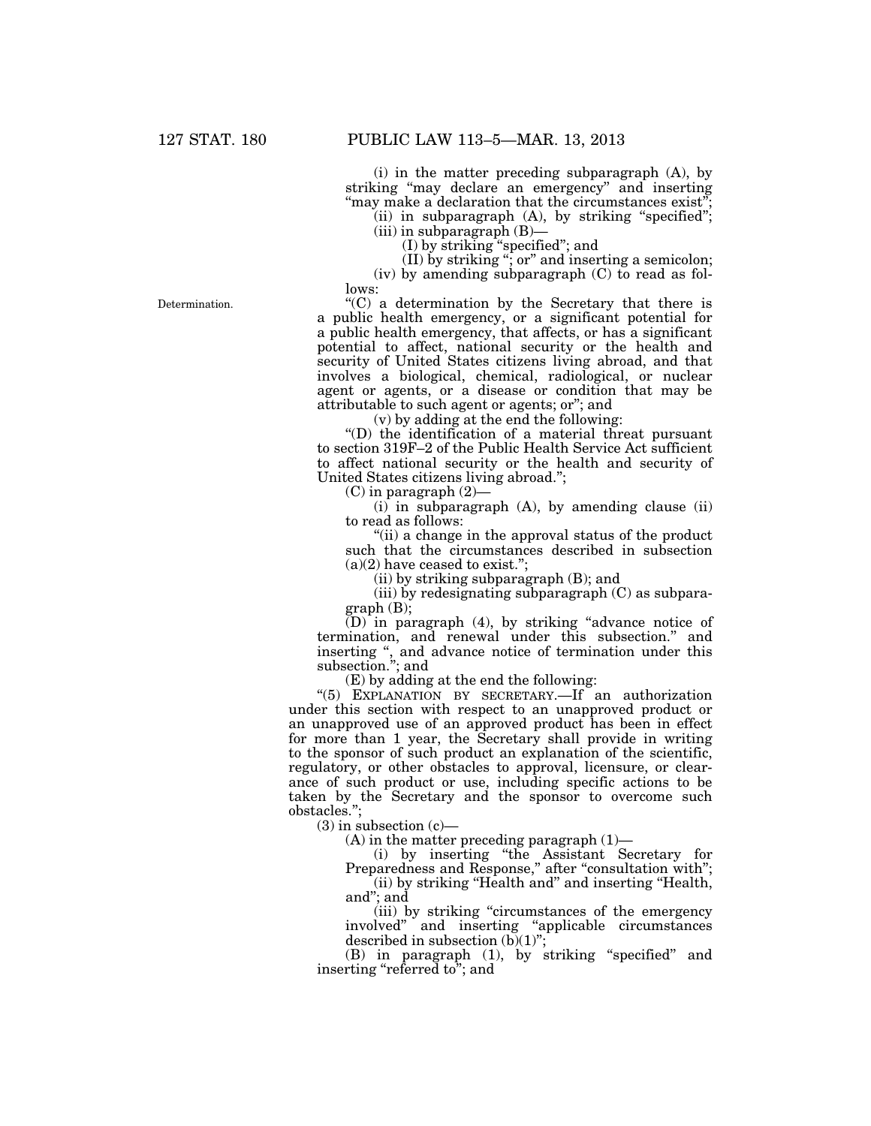(i) in the matter preceding subparagraph (A), by striking "may declare an emergency" and inserting "may make a declaration that the circumstances exist"

(ii) in subparagraph  $(A)$ , by striking "specified"; (iii) in subparagraph (B)—

(I) by striking ''specified''; and

(II) by striking ''; or'' and inserting a semicolon; (iv) by amending subparagraph (C) to read as follows:

 $(C)$  a determination by the Secretary that there is a public health emergency, or a significant potential for a public health emergency, that affects, or has a significant potential to affect, national security or the health and security of United States citizens living abroad, and that involves a biological, chemical, radiological, or nuclear agent or agents, or a disease or condition that may be attributable to such agent or agents; or''; and

(v) by adding at the end the following:

''(D) the identification of a material threat pursuant to section 319F–2 of the Public Health Service Act sufficient to affect national security or the health and security of United States citizens living abroad.'';

 $(C)$  in paragraph  $(2)$ 

 $(i)$  in subparagraph  $(A)$ , by amending clause  $(ii)$ to read as follows:

''(ii) a change in the approval status of the product such that the circumstances described in subsection  $(a)(2)$  have ceased to exist.";

(ii) by striking subparagraph (B); and

(iii) by redesignating subparagraph (C) as subparagraph (B);

(D) in paragraph (4), by striking ''advance notice of termination, and renewal under this subsection.'' and inserting '', and advance notice of termination under this subsection.''; and

(E) by adding at the end the following:

"(5) EXPLANATION BY SECRETARY.—If an authorization under this section with respect to an unapproved product or an unapproved use of an approved product has been in effect for more than 1 year, the Secretary shall provide in writing to the sponsor of such product an explanation of the scientific, regulatory, or other obstacles to approval, licensure, or clearance of such product or use, including specific actions to be taken by the Secretary and the sponsor to overcome such obstacles.'';

 $(3)$  in subsection  $(c)$ —

 $(A)$  in the matter preceding paragraph  $(1)$ —

(i) by inserting ''the Assistant Secretary for Preparedness and Response," after "consultation with"; (ii) by striking ''Health and'' and inserting ''Health,

and''; and

(iii) by striking ''circumstances of the emergency involved'' and inserting ''applicable circumstances described in subsection  $(b)(1)$ ";

(B) in paragraph (1), by striking ''specified'' and inserting "referred to"; and

Determination.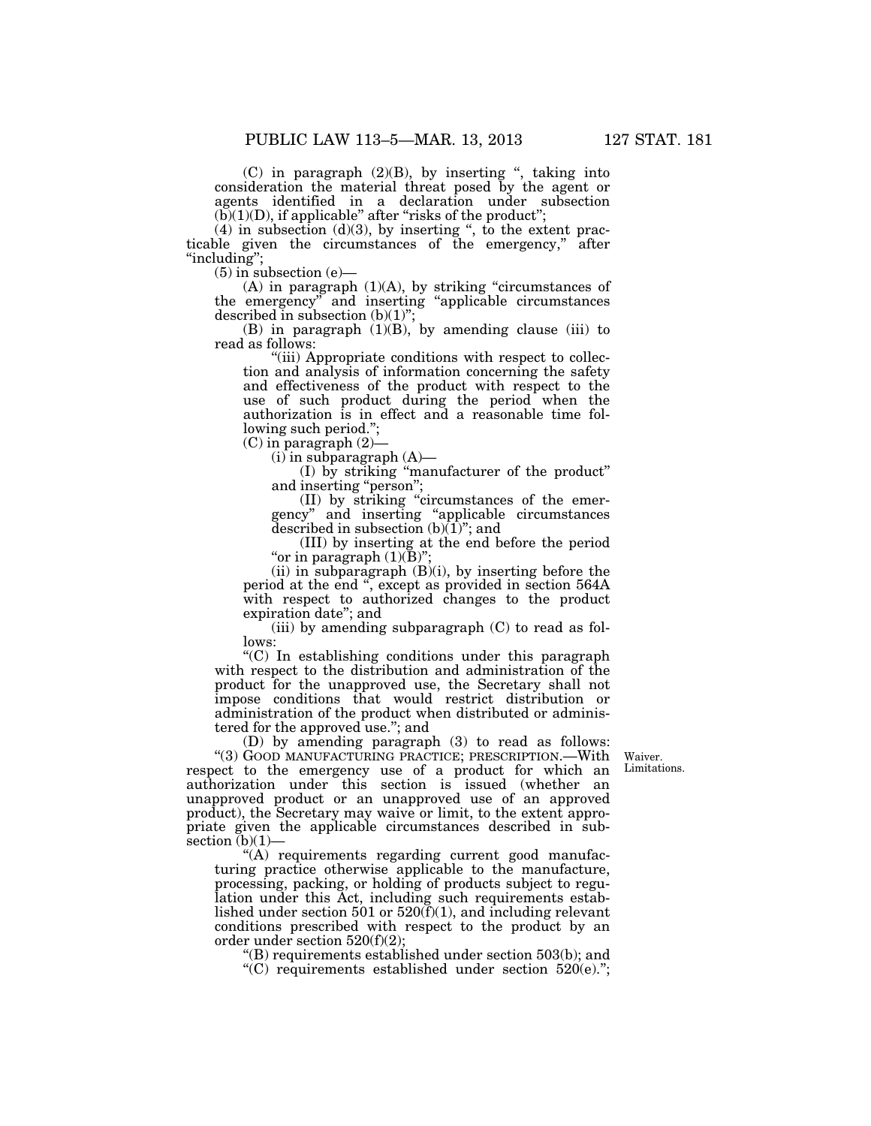$(C)$  in paragraph  $(2)(B)$ , by inserting ", taking into consideration the material threat posed by the agent or agents identified in a declaration under subsection  $(b)(1)(D)$ , if applicable" after "risks of the product";

 $(4)$  in subsection  $(d)(3)$ , by inserting ", to the extent practicable given the circumstances of the emergency,'' after ''including'';

 $(5)$  in subsection  $(e)$ —

(A) in paragraph  $(1)(A)$ , by striking "circumstances of the emergency'' and inserting ''applicable circumstances described in subsection (b)(1)'';

(B) in paragraph (1)(B), by amending clause (iii) to read as follows:

"(iii) Appropriate conditions with respect to collection and analysis of information concerning the safety and effectiveness of the product with respect to the use of such product during the period when the authorization is in effect and a reasonable time following such period.'';

(C) in paragraph (2)—

 $(i)$  in subparagraph  $(A)$ —

(I) by striking ''manufacturer of the product'' and inserting ''person'';

(II) by striking ''circumstances of the emergency'' and inserting ''applicable circumstances described in subsection  $(b)(1)$ "; and

(III) by inserting at the end before the period "or in paragraph  $(1)(B)$ ";

(ii) in subparagraph  $(B)(i)$ , by inserting before the period at the end '', except as provided in section 564A with respect to authorized changes to the product expiration date''; and

(iii) by amending subparagraph  $(C)$  to read as follows:

''(C) In establishing conditions under this paragraph with respect to the distribution and administration of the product for the unapproved use, the Secretary shall not impose conditions that would restrict distribution or administration of the product when distributed or administered for the approved use.''; and

> Waiver. Limitations.

(D) by amending paragraph (3) to read as follows: ''(3) GOOD MANUFACTURING PRACTICE; PRESCRIPTION.—With respect to the emergency use of a product for which an authorization under this section is issued (whether an unapproved product or an unapproved use of an approved product), the Secretary may waive or limit, to the extent appropriate given the applicable circumstances described in subsection  $(b)(1)$ –

''(A) requirements regarding current good manufacturing practice otherwise applicable to the manufacture, processing, packing, or holding of products subject to regulation under this Act, including such requirements established under section 501 or  $520(f)(1)$ , and including relevant conditions prescribed with respect to the product by an order under section 520(f)(2);

''(B) requirements established under section 503(b); and

''(C) requirements established under section 520(e).'';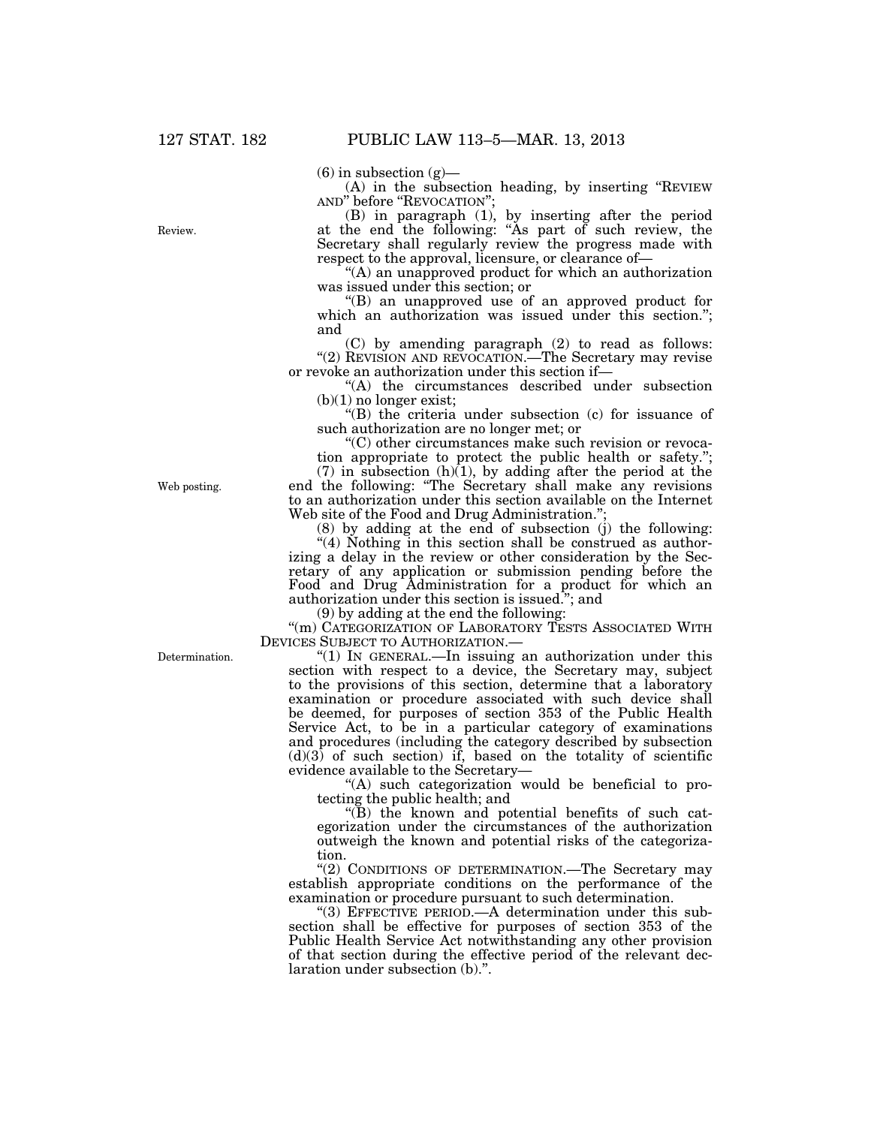$(6)$  in subsection  $(g)$ —

(A) in the subsection heading, by inserting ''REVIEW AND" before "REVOCATION"

(B) in paragraph (1), by inserting after the period at the end the following: ''As part of such review, the Secretary shall regularly review the progress made with respect to the approval, licensure, or clearance of—

''(A) an unapproved product for which an authorization was issued under this section; or

''(B) an unapproved use of an approved product for which an authorization was issued under this section."; and

(C) by amending paragraph (2) to read as follows: "(2) REVISION AND REVOCATION.—The Secretary may revise or revoke an authorization under this section if—

''(A) the circumstances described under subsection  $(b)(1)$  no longer exist;

''(B) the criteria under subsection (c) for issuance of such authorization are no longer met; or

''(C) other circumstances make such revision or revocation appropriate to protect the public health or safety."

 $(7)$  in subsection  $(h)(1)$ , by adding after the period at the end the following: ''The Secretary shall make any revisions to an authorization under this section available on the Internet Web site of the Food and Drug Administration.";

(8) by adding at the end of subsection (j) the following:

"(4) Nothing in this section shall be construed as authorizing a delay in the review or other consideration by the Secretary of any application or submission pending before the Food and Drug Administration for a product for which an authorization under this section is issued.''; and

(9) by adding at the end the following:

"(m) CATEGORIZATION OF LABORATORY TESTS ASSOCIATED WITH DEVICES SUBJECT TO AUTHORIZATION.—

"(1) In GENERAL.—In issuing an authorization under this section with respect to a device, the Secretary may, subject to the provisions of this section, determine that a laboratory examination or procedure associated with such device shall be deemed, for purposes of section 353 of the Public Health Service Act, to be in a particular category of examinations and procedures (including the category described by subsection  $(d)(3)$  of such section) if, based on the totality of scientific evidence available to the Secretary—

''(A) such categorization would be beneficial to protecting the public health; and

''(B) the known and potential benefits of such categorization under the circumstances of the authorization outweigh the known and potential risks of the categorization.

"(2) CONDITIONS OF DETERMINATION.—The Secretary may establish appropriate conditions on the performance of the examination or procedure pursuant to such determination.

"(3) EFFECTIVE PERIOD.—A determination under this subsection shall be effective for purposes of section 353 of the Public Health Service Act notwithstanding any other provision of that section during the effective period of the relevant declaration under subsection (b).''.

Web posting.

Determination.

Review.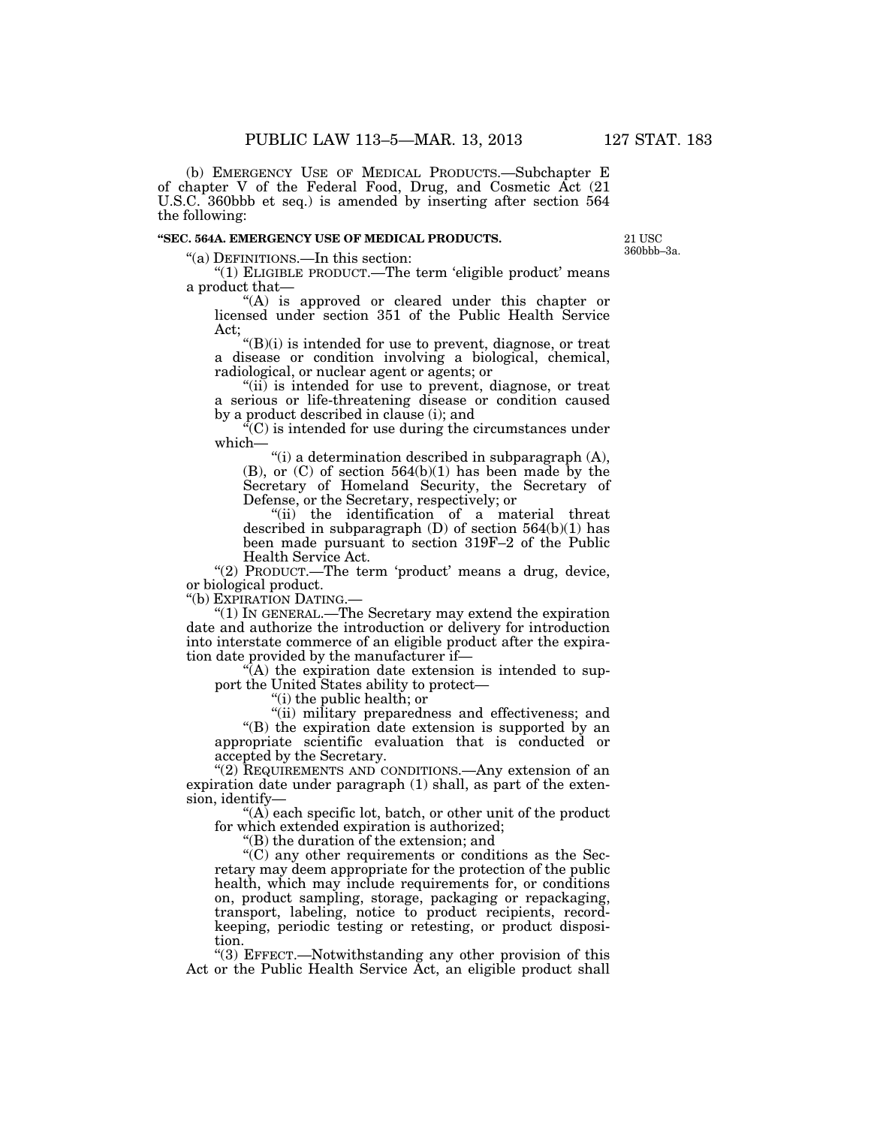(b) EMERGENCY USE OF MEDICAL PRODUCTS.—Subchapter E of chapter V of the Federal Food, Drug, and Cosmetic Act (21 U.S.C. 360bbb et seq.) is amended by inserting after section 564 the following:

### **''SEC. 564A. EMERGENCY USE OF MEDICAL PRODUCTS.**

21 USC 360bbb–3a.

''(a) DEFINITIONS.—In this section:

"(1) ELIGIBLE PRODUCT.—The term 'eligible product' means a product that—

"(A) is approved or cleared under this chapter or licensed under section 351 of the Public Health Service Act;

''(B)(i) is intended for use to prevent, diagnose, or treat a disease or condition involving a biological, chemical, radiological, or nuclear agent or agents; or

"(ii) is intended for use to prevent, diagnose, or treat a serious or life-threatening disease or condition caused by a product described in clause (i); and

 $C^2(C)$  is intended for use during the circumstances under which—

"(i) a determination described in subparagraph  $(A)$ , (B), or (C) of section 564(b)(1) has been made by the Secretary of Homeland Security, the Secretary of Defense, or the Secretary, respectively; or

"(ii) the identification of a material threat described in subparagraph  $(D)$  of section 564 $(b)(1)$  has been made pursuant to section 319F–2 of the Public Health Service Act.

"(2) PRODUCT.—The term 'product' means a drug, device, or biological product.

''(b) EXPIRATION DATING.—

''(1) IN GENERAL.—The Secretary may extend the expiration date and authorize the introduction or delivery for introduction into interstate commerce of an eligible product after the expiration date provided by the manufacturer if—

 $\sqrt{\ }$ (A) the expiration date extension is intended to support the United States ability to protect—

''(i) the public health; or

''(ii) military preparedness and effectiveness; and ''(B) the expiration date extension is supported by an appropriate scientific evaluation that is conducted or accepted by the Secretary.

"(2) REQUIREMENTS AND CONDITIONS.—Any extension of an expiration date under paragraph (1) shall, as part of the extension, identify—

''(A) each specific lot, batch, or other unit of the product for which extended expiration is authorized;

''(B) the duration of the extension; and

''(C) any other requirements or conditions as the Secretary may deem appropriate for the protection of the public health, which may include requirements for, or conditions on, product sampling, storage, packaging or repackaging, transport, labeling, notice to product recipients, recordkeeping, periodic testing or retesting, or product disposition.

''(3) EFFECT.—Notwithstanding any other provision of this Act or the Public Health Service Act, an eligible product shall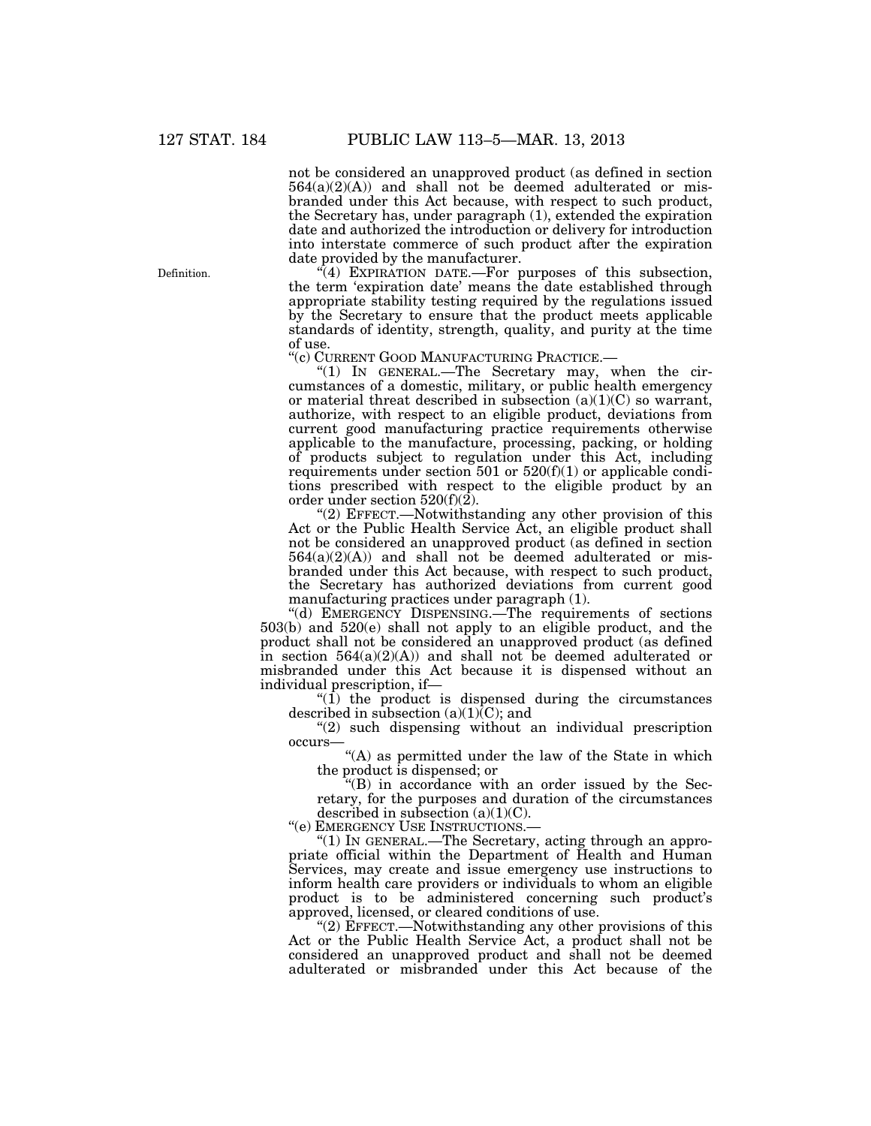not be considered an unapproved product (as defined in section  $564(a)(2)(A)$  and shall not be deemed adulterated or misbranded under this Act because, with respect to such product, the Secretary has, under paragraph (1), extended the expiration date and authorized the introduction or delivery for introduction into interstate commerce of such product after the expiration date provided by the manufacturer.

 $\sqrt{4}$ ) EXPIRATION DATE.—For purposes of this subsection, the term 'expiration date' means the date established through appropriate stability testing required by the regulations issued by the Secretary to ensure that the product meets applicable standards of identity, strength, quality, and purity at the time

of use.<br>"(c) CURRENT GOOD MANUFACTURING PRACTICE.—

" $(1)$  In GENERAL.—The Secretary may, when the circumstances of a domestic, military, or public health emergency or material threat described in subsection  $(a)(1)(C)$  so warrant, authorize, with respect to an eligible product, deviations from current good manufacturing practice requirements otherwise applicable to the manufacture, processing, packing, or holding of products subject to regulation under this Act, including requirements under section 501 or  $520(f)(1)$  or applicable conditions prescribed with respect to the eligible product by an order under section  $520(f)(2)$ .

''(2) EFFECT.—Notwithstanding any other provision of this Act or the Public Health Service Act, an eligible product shall not be considered an unapproved product (as defined in section  $564(a)(2)(A)$  and shall not be deemed adulterated or misbranded under this Act because, with respect to such product, the Secretary has authorized deviations from current good manufacturing practices under paragraph (1).

"(d) EMERGENCY DISPENSING.—The requirements of sections 503(b) and 520(e) shall not apply to an eligible product, and the product shall not be considered an unapproved product (as defined in section  $564(a)(2)(A)$  and shall not be deemed adulterated or misbranded under this Act because it is dispensed without an individual prescription, if—

" $(1)$  the product is dispensed during the circumstances described in subsection  $(a)(1)\overline{(C)}$ ; and

"(2) such dispensing without an individual prescription occurs—

 $<sup>4</sup>(A)$  as permitted under the law of the State in which</sup> the product is dispensed; or

''(B) in accordance with an order issued by the Secretary, for the purposes and duration of the circumstances described in subsection  $(a)(1)(C)$ .

''(e) EMERGENCY USE INSTRUCTIONS.—

''(1) IN GENERAL.—The Secretary, acting through an appropriate official within the Department of Health and Human Services, may create and issue emergency use instructions to inform health care providers or individuals to whom an eligible product is to be administered concerning such product's approved, licensed, or cleared conditions of use.

''(2) EFFECT.—Notwithstanding any other provisions of this Act or the Public Health Service Act, a product shall not be considered an unapproved product and shall not be deemed adulterated or misbranded under this Act because of the

Definition.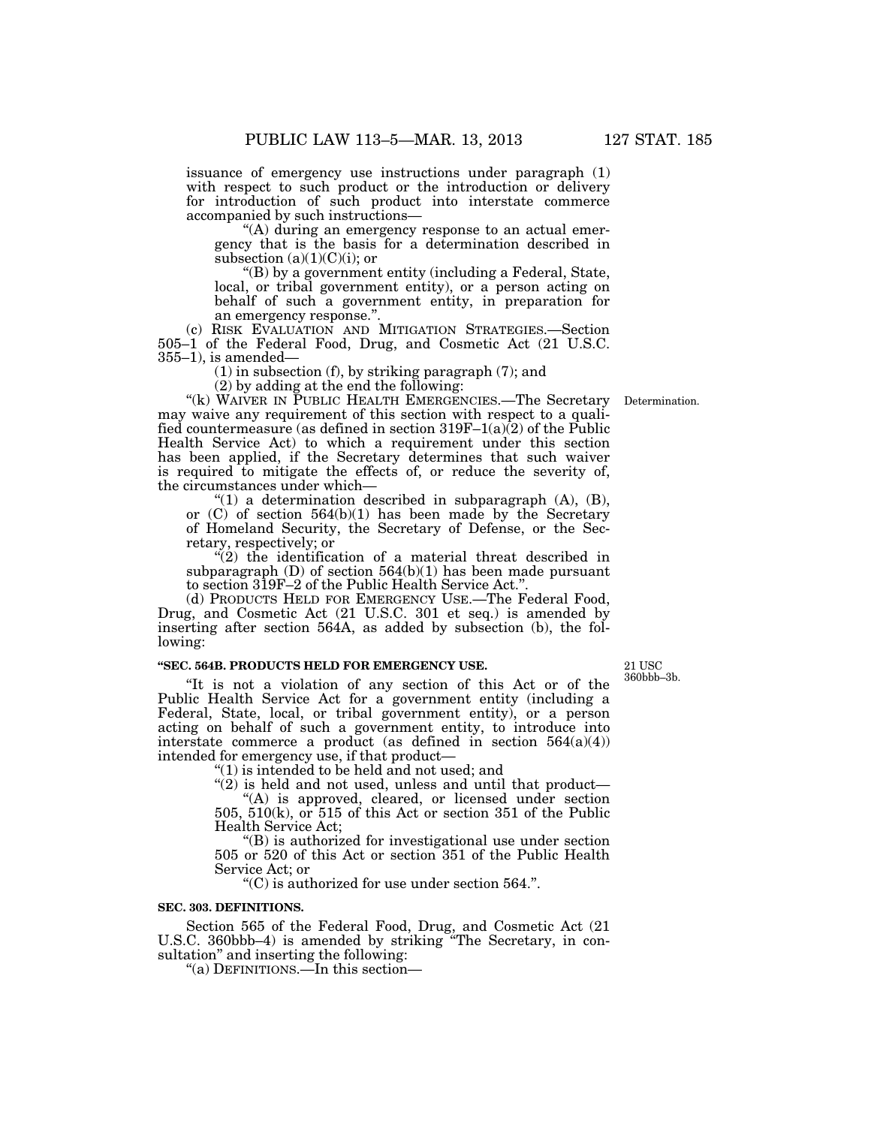issuance of emergency use instructions under paragraph (1) with respect to such product or the introduction or delivery for introduction of such product into interstate commerce accompanied by such instructions—

''(A) during an emergency response to an actual emergency that is the basis for a determination described in subsection  $(a)(1)(C)(i)$ ; or

''(B) by a government entity (including a Federal, State, local, or tribal government entity), or a person acting on behalf of such a government entity, in preparation for an emergency response.''.

(c) RISK EVALUATION AND MITIGATION STRATEGIES.—Section 505–1 of the Federal Food, Drug, and Cosmetic Act (21 U.S.C.  $355-1$ ), is amended-

(1) in subsection (f), by striking paragraph (7); and

(2) by adding at the end the following:

''(k) WAIVER IN PUBLIC HEALTH EMERGENCIES.—The Secretary Determination. may waive any requirement of this section with respect to a qualified countermeasure (as defined in section  $319F-1(a)(2)$  of the Public Health Service Act) to which a requirement under this section has been applied, if the Secretary determines that such waiver is required to mitigate the effects of, or reduce the severity of, the circumstances under which—

" $(1)$  a determination described in subparagraph  $(A)$ ,  $(B)$ , or  $(C)$  of section 564(b)(1) has been made by the Secretary of Homeland Security, the Secretary of Defense, or the Secretary, respectively; or

 $\sqrt{\hat{a}}$ ) the identification of a material threat described in subparagraph (D) of section 564(b)(1) has been made pursuant to section 319F–2 of the Public Health Service Act.''.

(d) PRODUCTS HELD FOR EMERGENCY USE.—The Federal Food, Drug, and Cosmetic Act (21 U.S.C. 301 et seq.) is amended by inserting after section 564A, as added by subsection (b), the following:

## **''SEC. 564B. PRODUCTS HELD FOR EMERGENCY USE.**

''It is not a violation of any section of this Act or of the Public Health Service Act for a government entity (including a Federal, State, local, or tribal government entity), or a person acting on behalf of such a government entity, to introduce into interstate commerce a product (as defined in section  $564(a)(4)$ ) intended for emergency use, if that product—

''(1) is intended to be held and not used; and

 $(2)$  is held and not used, unless and until that product— "(A) is approved, cleared, or licensed under section 505, 510(k), or 515 of this Act or section 351 of the Public

Health Service Act;

''(B) is authorized for investigational use under section 505 or 520 of this Act or section 351 of the Public Health Service Act; or

''(C) is authorized for use under section 564.''.

#### **SEC. 303. DEFINITIONS.**

Section 565 of the Federal Food, Drug, and Cosmetic Act (21 U.S.C. 360bbb–4) is amended by striking ''The Secretary, in consultation'' and inserting the following:

''(a) DEFINITIONS.—In this section—

21 USC 360bbb–3b.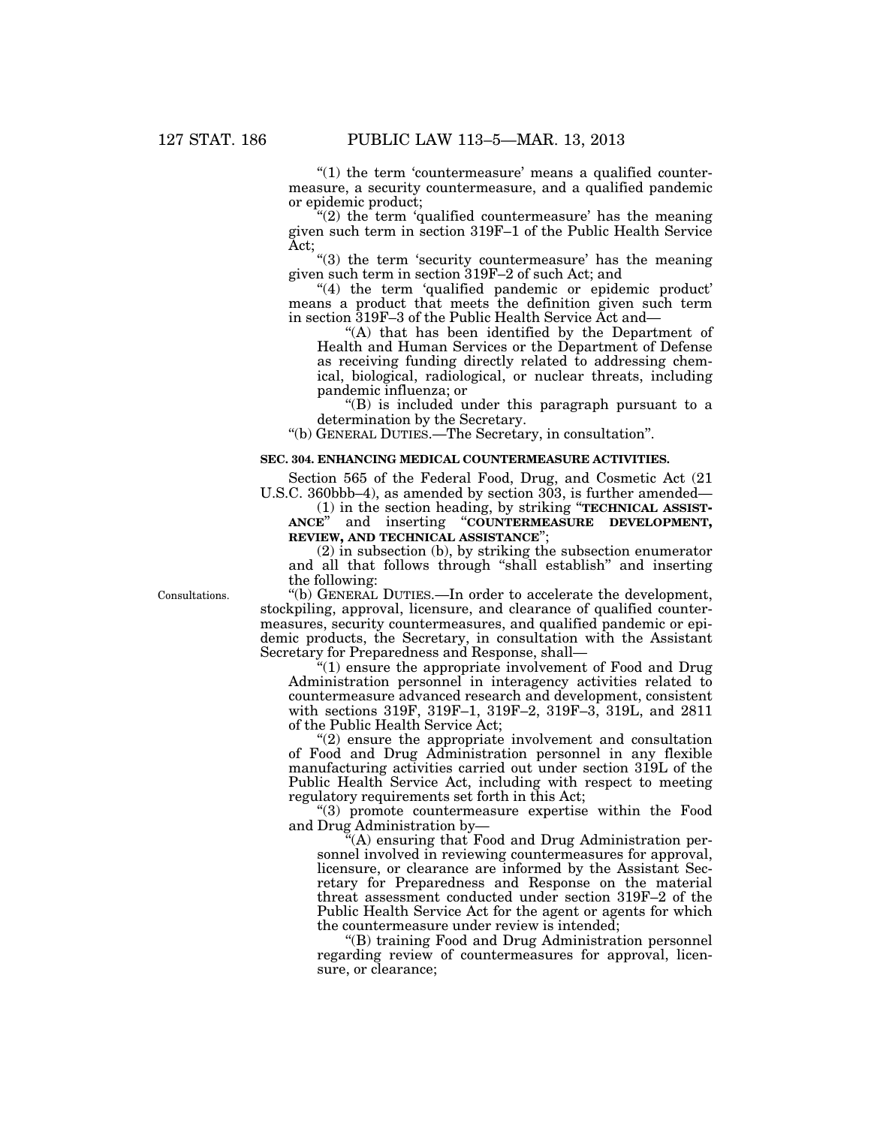" $(1)$  the term 'countermeasure' means a qualified countermeasure, a security countermeasure, and a qualified pandemic or epidemic product;

" $(2)$  the term 'qualified countermeasure' has the meaning given such term in section 319F–1 of the Public Health Service Act;

"(3) the term 'security countermeasure' has the meaning given such term in section 319F–2 of such Act; and

"(4) the term 'qualified pandemic or epidemic product' means a product that meets the definition given such term in section 319F–3 of the Public Health Service Act and—

"(A) that has been identified by the Department of Health and Human Services or the Department of Defense as receiving funding directly related to addressing chemical, biological, radiological, or nuclear threats, including pandemic influenza; or

''(B) is included under this paragraph pursuant to a determination by the Secretary.

''(b) GENERAL DUTIES.—The Secretary, in consultation''.

#### **SEC. 304. ENHANCING MEDICAL COUNTERMEASURE ACTIVITIES.**

Section 565 of the Federal Food, Drug, and Cosmetic Act (21 U.S.C. 360bbb–4), as amended by section  $303$ , is further amended—

(1) in the section heading, by striking ''**TECHNICAL ASSIST-ANCE**'' and inserting ''**COUNTERMEASURE DEVELOPMENT, REVIEW, AND TECHNICAL ASSISTANCE**'';

(2) in subsection (b), by striking the subsection enumerator and all that follows through ''shall establish'' and inserting the following:

Consultations.

''(b) GENERAL DUTIES.—In order to accelerate the development, stockpiling, approval, licensure, and clearance of qualified countermeasures, security countermeasures, and qualified pandemic or epidemic products, the Secretary, in consultation with the Assistant Secretary for Preparedness and Response, shall—

''(1) ensure the appropriate involvement of Food and Drug Administration personnel in interagency activities related to countermeasure advanced research and development, consistent with sections 319F, 319F–1, 319F–2, 319F–3, 319L, and 2811 of the Public Health Service Act;

 $''(2)$  ensure the appropriate involvement and consultation of Food and Drug Administration personnel in any flexible manufacturing activities carried out under section 319L of the Public Health Service Act, including with respect to meeting regulatory requirements set forth in this Act;

''(3) promote countermeasure expertise within the Food and Drug Administration by—

''(A) ensuring that Food and Drug Administration personnel involved in reviewing countermeasures for approval, licensure, or clearance are informed by the Assistant Secretary for Preparedness and Response on the material threat assessment conducted under section 319F–2 of the Public Health Service Act for the agent or agents for which the countermeasure under review is intended;

''(B) training Food and Drug Administration personnel regarding review of countermeasures for approval, licensure, or clearance;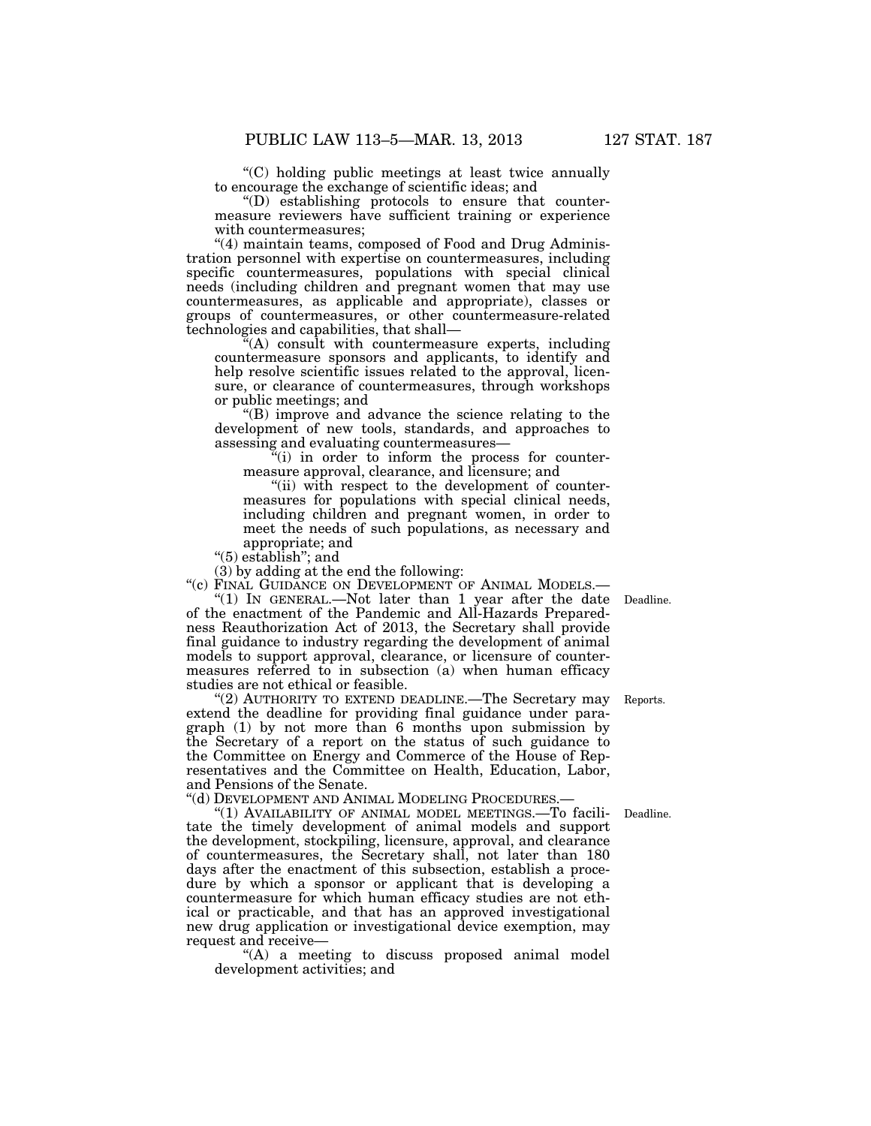''(C) holding public meetings at least twice annually to encourage the exchange of scientific ideas; and

''(D) establishing protocols to ensure that countermeasure reviewers have sufficient training or experience with countermeasures;

"(4) maintain teams, composed of Food and Drug Administration personnel with expertise on countermeasures, including specific countermeasures, populations with special clinical needs (including children and pregnant women that may use countermeasures, as applicable and appropriate), classes or groups of countermeasures, or other countermeasure-related technologies and capabilities, that shall—

 $\mathbb{F}(A)$  consult with countermeasure experts, including countermeasure sponsors and applicants, to identify and help resolve scientific issues related to the approval, licensure, or clearance of countermeasures, through workshops or public meetings; and

''(B) improve and advance the science relating to the development of new tools, standards, and approaches to assessing and evaluating countermeasures—

 $\mathbf{f}^{\mathbf{u}}(i)$  in order to inform the process for countermeasure approval, clearance, and licensure; and

"(ii) with respect to the development of countermeasures for populations with special clinical needs, including children and pregnant women, in order to meet the needs of such populations, as necessary and appropriate; and

''(5) establish''; and

(3) by adding at the end the following:

"(c) FINAL GUIDANCE ON DEVELOPMENT OF ANIMAL MODELS.-

"(1) IN GENERAL.—Not later than 1 year after the date of the enactment of the Pandemic and All-Hazards Preparedness Reauthorization Act of 2013, the Secretary shall provide final guidance to industry regarding the development of animal models to support approval, clearance, or licensure of countermeasures referred to in subsection (a) when human efficacy studies are not ethical or feasible.

"(2) AUTHORITY TO EXTEND DEADLINE.—The Secretary may Reports. extend the deadline for providing final guidance under paragraph (1) by not more than 6 months upon submission by the Secretary of a report on the status of such guidance to the Committee on Energy and Commerce of the House of Representatives and the Committee on Health, Education, Labor, and Pensions of the Senate.

''(d) DEVELOPMENT AND ANIMAL MODELING PROCEDURES.—

"(1) AVAILABILITY OF ANIMAL MODEL MEETINGS.—To facilitate the timely development of animal models and support the development, stockpiling, licensure, approval, and clearance of countermeasures, the Secretary shall, not later than 180 days after the enactment of this subsection, establish a procedure by which a sponsor or applicant that is developing a countermeasure for which human efficacy studies are not ethical or practicable, and that has an approved investigational new drug application or investigational device exemption, may request and receive—

''(A) a meeting to discuss proposed animal model development activities; and

Deadline.

Deadline.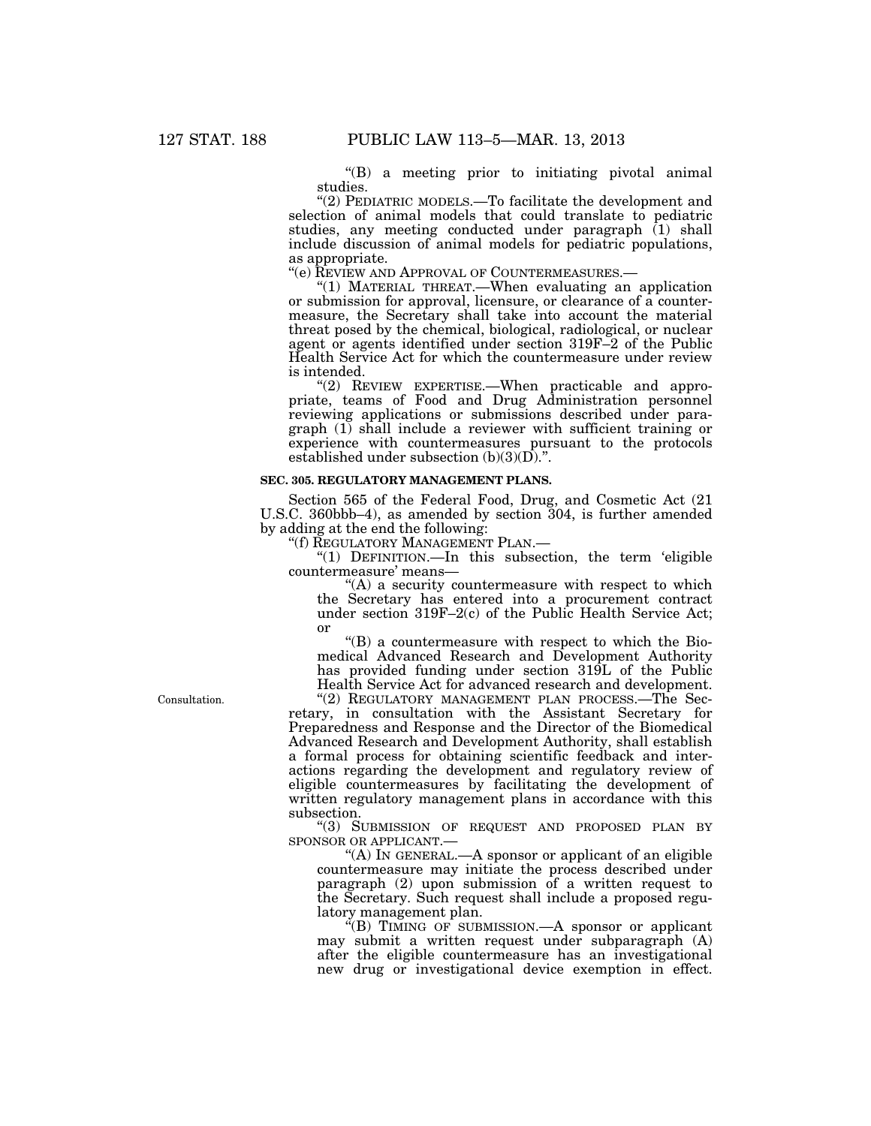''(B) a meeting prior to initiating pivotal animal studies.

''(2) PEDIATRIC MODELS.—To facilitate the development and selection of animal models that could translate to pediatric studies, any meeting conducted under paragraph (1) shall include discussion of animal models for pediatric populations, as appropriate.<br>"(e) REVIEW AND APPROVAL OF COUNTERMEASURES.—

"(1) MATERIAL THREAT.—When evaluating an application or submission for approval, licensure, or clearance of a countermeasure, the Secretary shall take into account the material threat posed by the chemical, biological, radiological, or nuclear agent or agents identified under section 319F–2 of the Public Health Service Act for which the countermeasure under review is intended.

"(2) REVIEW EXPERTISE.-When practicable and appropriate, teams of Food and Drug Administration personnel reviewing applications or submissions described under paragraph (1) shall include a reviewer with sufficient training or experience with countermeasures pursuant to the protocols established under subsection  $(b)(3)(D)$ .".

### **SEC. 305. REGULATORY MANAGEMENT PLANS.**

Section 565 of the Federal Food, Drug, and Cosmetic Act (21 U.S.C. 360bbb–4), as amended by section 304, is further amended by adding at the end the following:

''(f) REGULATORY MANAGEMENT PLAN.—

"(1) DEFINITION.—In this subsection, the term 'eligible countermeasure' means—

 $f(A)$  a security countermeasure with respect to which the Secretary has entered into a procurement contract under section 319F–2(c) of the Public Health Service Act; or

 $'(B)$  a countermeasure with respect to which the Biomedical Advanced Research and Development Authority has provided funding under section 319L of the Public Health Service Act for advanced research and development.

"(2) REGULATORY MANAGEMENT PLAN PROCESS.—The Secretary, in consultation with the Assistant Secretary for Preparedness and Response and the Director of the Biomedical Advanced Research and Development Authority, shall establish a formal process for obtaining scientific feedback and interactions regarding the development and regulatory review of eligible countermeasures by facilitating the development of written regulatory management plans in accordance with this subsection.

''(3) SUBMISSION OF REQUEST AND PROPOSED PLAN BY SPONSOR OR APPLICANT.—

"(A) In GENERAL.—A sponsor or applicant of an eligible countermeasure may initiate the process described under paragraph (2) upon submission of a written request to the Secretary. Such request shall include a proposed regulatory management plan.

''(B) TIMING OF SUBMISSION.—A sponsor or applicant may submit a written request under subparagraph (A) after the eligible countermeasure has an investigational new drug or investigational device exemption in effect.

Consultation.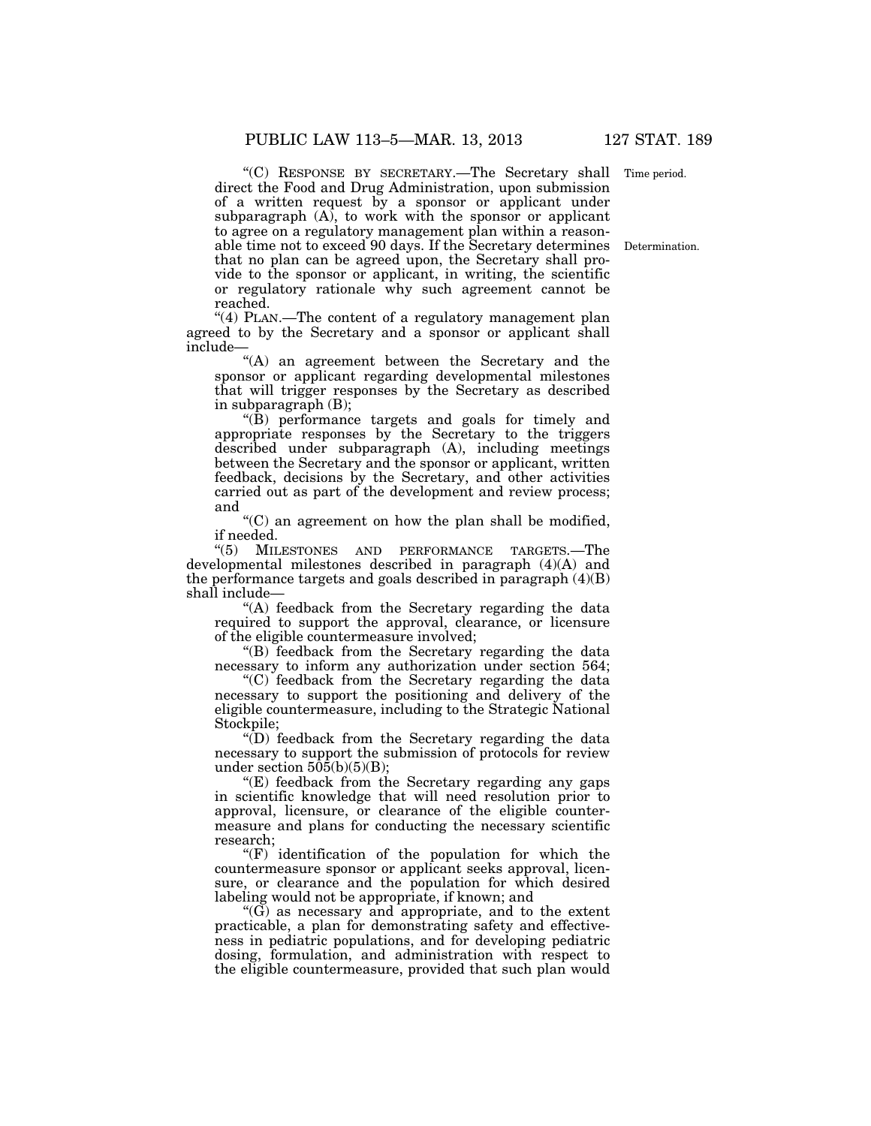"(C) RESPONSE BY SECRETARY.—The Secretary shall Time period. direct the Food and Drug Administration, upon submission of a written request by a sponsor or applicant under subparagraph  $(A)$ , to work with the sponsor or applicant to agree on a regulatory management plan within a reasonable time not to exceed 90 days. If the Secretary determines Determination. that no plan can be agreed upon, the Secretary shall provide to the sponsor or applicant, in writing, the scientific or regulatory rationale why such agreement cannot be reached.

"(4) PLAN.—The content of a regulatory management plan agreed to by the Secretary and a sponsor or applicant shall include—

''(A) an agreement between the Secretary and the sponsor or applicant regarding developmental milestones that will trigger responses by the Secretary as described in subparagraph (B);

" $(\hat{B})$  performance targets and goals for timely and appropriate responses by the Secretary to the triggers described under subparagraph (A), including meetings between the Secretary and the sponsor or applicant, written feedback, decisions by the Secretary, and other activities carried out as part of the development and review process; and

''(C) an agreement on how the plan shall be modified,

if needed. MILESTONES AND PERFORMANCE TARGETS.—The developmental milestones described in paragraph (4)(A) and the performance targets and goals described in paragraph  $(4)(B)$ shall include—

''(A) feedback from the Secretary regarding the data required to support the approval, clearance, or licensure of the eligible countermeasure involved;

"(B) feedback from the Secretary regarding the data necessary to inform any authorization under section 564;

''(C) feedback from the Secretary regarding the data necessary to support the positioning and delivery of the eligible countermeasure, including to the Strategic National Stockpile;

''(D) feedback from the Secretary regarding the data necessary to support the submission of protocols for review under section  $50\overline{5(b)(5)(B)}$ ;

" $(E)$  feedback from the Secretary regarding any gaps in scientific knowledge that will need resolution prior to approval, licensure, or clearance of the eligible countermeasure and plans for conducting the necessary scientific research;

" $(F)$  identification of the population for which the countermeasure sponsor or applicant seeks approval, licensure, or clearance and the population for which desired labeling would not be appropriate, if known; and

 $\mathcal{C}(\widetilde{G})$  as necessary and appropriate, and to the extent practicable, a plan for demonstrating safety and effectiveness in pediatric populations, and for developing pediatric dosing, formulation, and administration with respect to the eligible countermeasure, provided that such plan would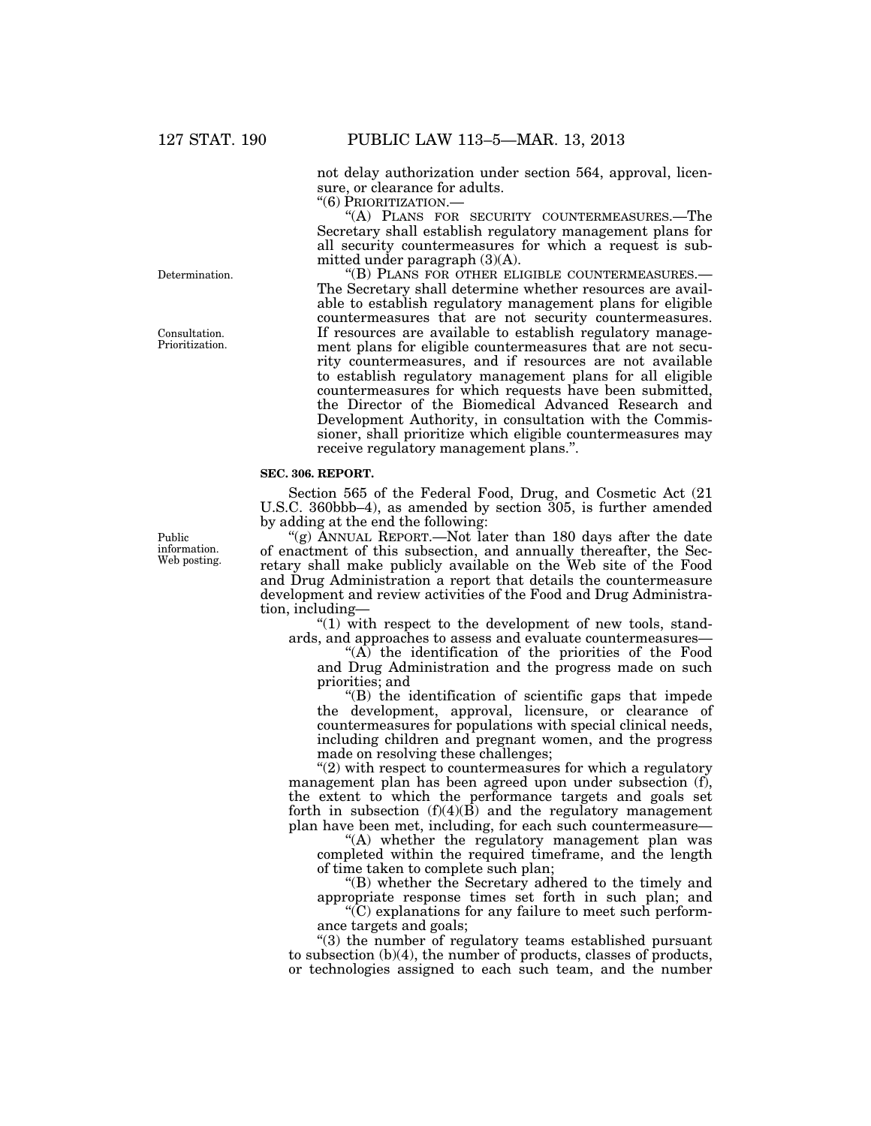not delay authorization under section 564, approval, licensure, or clearance for adults.

''(6) PRIORITIZATION.—

''(A) PLANS FOR SECURITY COUNTERMEASURES.—The Secretary shall establish regulatory management plans for all security countermeasures for which a request is submitted under paragraph (3)(A).

''(B) PLANS FOR OTHER ELIGIBLE COUNTERMEASURES.— The Secretary shall determine whether resources are available to establish regulatory management plans for eligible countermeasures that are not security countermeasures. If resources are available to establish regulatory management plans for eligible countermeasures that are not security countermeasures, and if resources are not available to establish regulatory management plans for all eligible countermeasures for which requests have been submitted, the Director of the Biomedical Advanced Research and Development Authority, in consultation with the Commissioner, shall prioritize which eligible countermeasures may receive regulatory management plans.''.

## **SEC. 306. REPORT.**

Section 565 of the Federal Food, Drug, and Cosmetic Act (21 U.S.C. 360bbb–4), as amended by section 305, is further amended by adding at the end the following:

''(g) ANNUAL REPORT.—Not later than 180 days after the date of enactment of this subsection, and annually thereafter, the Secretary shall make publicly available on the Web site of the Food and Drug Administration a report that details the countermeasure development and review activities of the Food and Drug Administration, including—

" $(1)$  with respect to the development of new tools, standards, and approaches to assess and evaluate countermeasures—

''(A) the identification of the priorities of the Food and Drug Administration and the progress made on such priorities; and

''(B) the identification of scientific gaps that impede the development, approval, licensure, or clearance of countermeasures for populations with special clinical needs, including children and pregnant women, and the progress made on resolving these challenges;

 $''(2)$  with respect to countermeasures for which a regulatory management plan has been agreed upon under subsection (f), the extent to which the performance targets and goals set forth in subsection  $(f)(4)(\overline{B})$  and the regulatory management plan have been met, including, for each such countermeasure—

''(A) whether the regulatory management plan was completed within the required timeframe, and the length of time taken to complete such plan;

''(B) whether the Secretary adhered to the timely and appropriate response times set forth in such plan; and

''(C) explanations for any failure to meet such performance targets and goals;

"(3) the number of regulatory teams established pursuant to subsection (b)(4), the number of products, classes of products, or technologies assigned to each such team, and the number

Public information. Web posting.

Determination.

Consultation. Prioritization.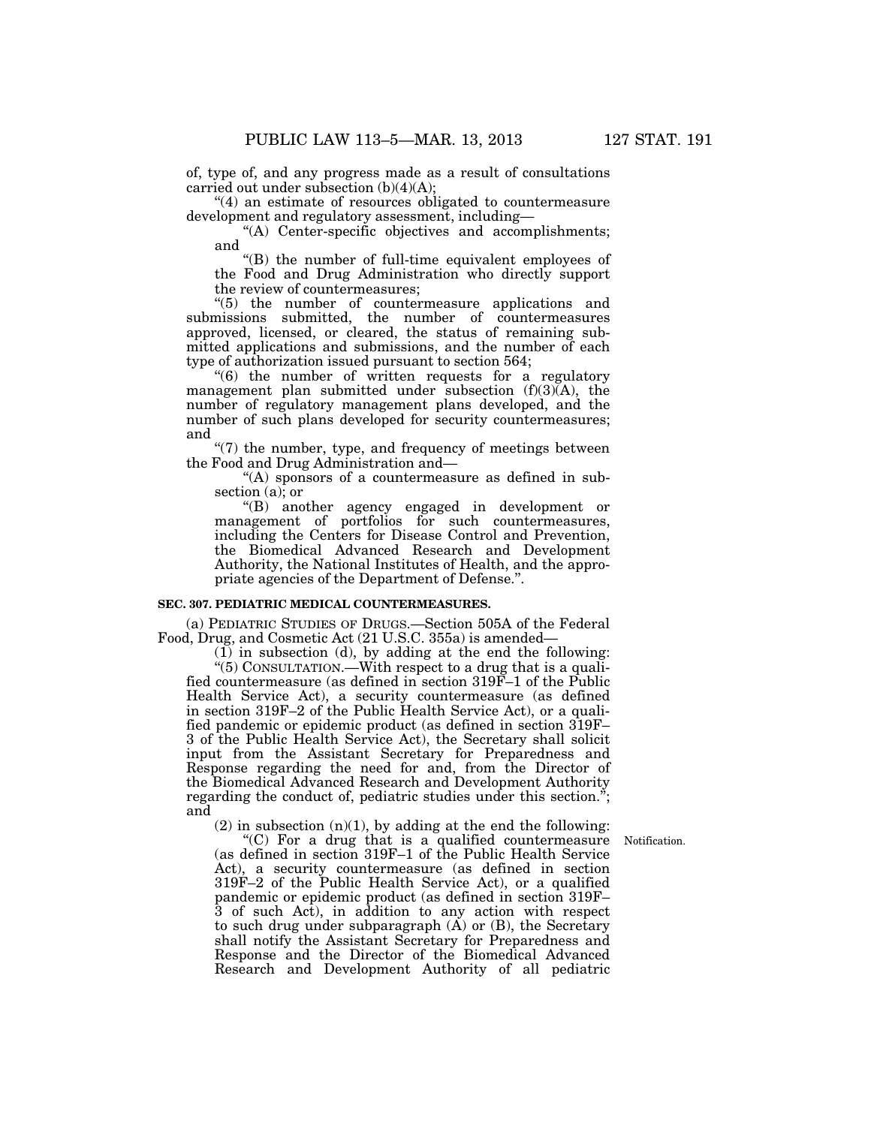of, type of, and any progress made as a result of consultations carried out under subsection  $(b)(4)(A)$ ;

''(4) an estimate of resources obligated to countermeasure development and regulatory assessment, including—

''(A) Center-specific objectives and accomplishments; and

''(B) the number of full-time equivalent employees of the Food and Drug Administration who directly support the review of countermeasures;

''(5) the number of countermeasure applications and submissions submitted, the number of countermeasures approved, licensed, or cleared, the status of remaining submitted applications and submissions, and the number of each type of authorization issued pursuant to section 564;

 $(6)$  the number of written requests for a regulatory management plan submitted under subsection  $(f)(3)(A)$ , the number of regulatory management plans developed, and the number of such plans developed for security countermeasures; and

 $\degree$ (7) the number, type, and frequency of meetings between the Food and Drug Administration and—

"(A) sponsors of a countermeasure as defined in subsection (a); or

''(B) another agency engaged in development or management of portfolios for such countermeasures, including the Centers for Disease Control and Prevention, the Biomedical Advanced Research and Development Authority, the National Institutes of Health, and the appropriate agencies of the Department of Defense.''.

#### **SEC. 307. PEDIATRIC MEDICAL COUNTERMEASURES.**

(a) PEDIATRIC STUDIES OF DRUGS.—Section 505A of the Federal Food, Drug, and Cosmetic Act (21 U.S.C. 355a) is amended—

(1) in subsection (d), by adding at the end the following:

''(5) CONSULTATION.—With respect to a drug that is a qualified countermeasure (as defined in section 319F–1 of the Public Health Service Act), a security countermeasure (as defined in section 319F–2 of the Public Health Service Act), or a qualified pandemic or epidemic product (as defined in section 319F– 3 of the Public Health Service Act), the Secretary shall solicit input from the Assistant Secretary for Preparedness and Response regarding the need for and, from the Director of the Biomedical Advanced Research and Development Authority regarding the conduct of, pediatric studies under this section."; and

Notification.

 $(2)$  in subsection  $(n)(1)$ , by adding at the end the following:

" $(C)$  For a drug that is a qualified countermeasure (as defined in section 319F–1 of the Public Health Service Act), a security countermeasure (as defined in section 319F–2 of the Public Health Service Act), or a qualified pandemic or epidemic product (as defined in section 319F– 3 of such Act), in addition to any action with respect to such drug under subparagraph  $(A)$  or  $(B)$ , the Secretary shall notify the Assistant Secretary for Preparedness and Response and the Director of the Biomedical Advanced Research and Development Authority of all pediatric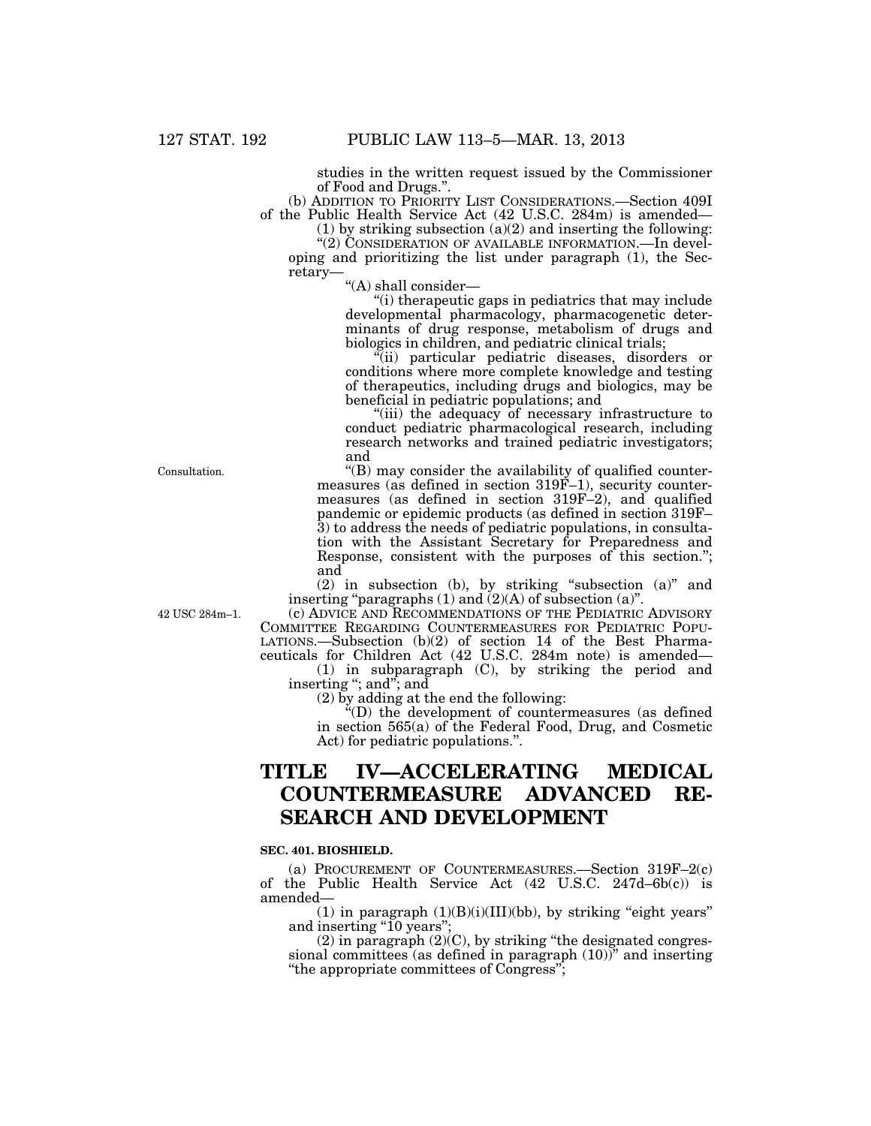studies in the written request issued by the Commissioner of Food and Drugs.''.

(b) ADDITION TO PRIORITY LIST CONSIDERATIONS.—Section 409I of the Public Health Service Act (42 U.S.C. 284m) is amended—

(1) by striking subsection  $(a)(2)$  and inserting the following: "(2) CONSIDERATION OF AVAILABLE INFORMATION.—In devel-

oping and prioritizing the list under paragraph (1), the Secretary—

''(A) shall consider—

''(i) therapeutic gaps in pediatrics that may include developmental pharmacology, pharmacogenetic determinants of drug response, metabolism of drugs and biologics in children, and pediatric clinical trials;

''(ii) particular pediatric diseases, disorders or conditions where more complete knowledge and testing of therapeutics, including drugs and biologics, may be beneficial in pediatric populations; and

"(iii) the adequacy of necessary infrastructure to conduct pediatric pharmacological research, including research networks and trained pediatric investigators; and

''(B) may consider the availability of qualified countermeasures (as defined in section 319F-1), security countermeasures (as defined in section 319F–2), and qualified pandemic or epidemic products (as defined in section 319F– 3) to address the needs of pediatric populations, in consultation with the Assistant Secretary for Preparedness and Response, consistent with the purposes of this section.''; and

(2) in subsection (b), by striking ''subsection (a)'' and inserting "paragraphs  $(1)$  and  $(2)(A)$  of subsection  $(a)$ ".

42 USC 284m–1.

Consultation.

(c) ADVICE AND RECOMMENDATIONS OF THE PEDIATRIC ADVISORY COMMITTEE REGARDING COUNTERMEASURES FOR PEDIATRIC POPU-LATIONS.—Subsection (b)(2) of section 14 of the Best Pharmaceuticals for Children Act (42 U.S.C. 284m note) is amended—

(1) in subparagraph (C), by striking the period and inserting "; and "; and

(2) by adding at the end the following:

''(D) the development of countermeasures (as defined in section 565(a) of the Federal Food, Drug, and Cosmetic Act) for pediatric populations.''.

## **TITLE IV—ACCELERATING MEDICAL COUNTERMEASURE ADVANCED RE-SEARCH AND DEVELOPMENT**

## **SEC. 401. BIOSHIELD.**

(a) PROCUREMENT OF COUNTERMEASURES.—Section 319F–2(c) of the Public Health Service Act (42 U.S.C. 247d–6b(c)) is amended—

 $(1)$  in paragraph  $(1)(B)(i)(III)(bb)$ , by striking "eight years" and inserting "10 years";

 $(2)$  in paragraph  $(2)(C)$ , by striking "the designated congressional committees (as defined in paragraph (10))" and inserting ''the appropriate committees of Congress'';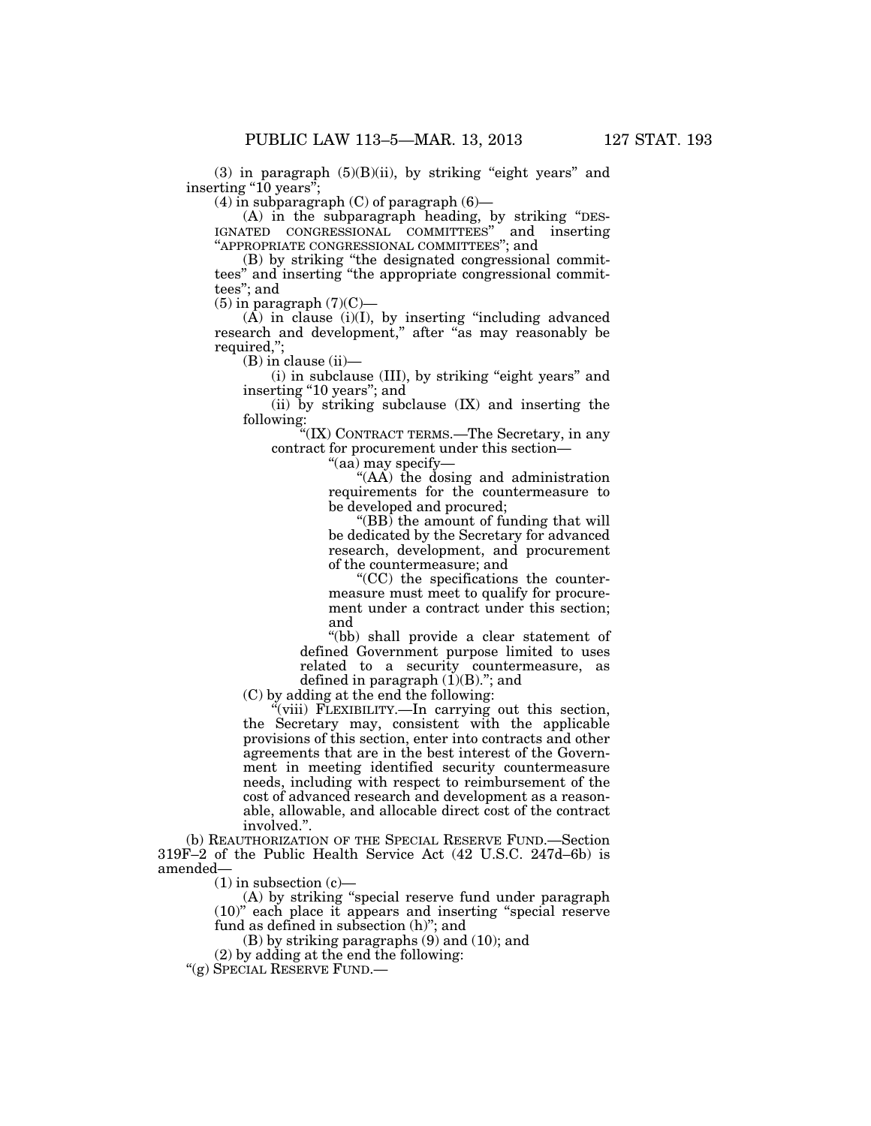$(3)$  in paragraph  $(5)(B)(ii)$ , by striking "eight years" and inserting "10 years";

 $(4)$  in subparagraph  $(C)$  of paragraph  $(6)$ —

(A) in the subparagraph heading, by striking ''DES-IGNATED CONGRESSIONAL COMMITTEES'' and inserting ''APPROPRIATE CONGRESSIONAL COMMITTEES''; and

(B) by striking ''the designated congressional committees'' and inserting ''the appropriate congressional committees''; and

 $(5)$  in paragraph  $(7)(C)$ 

 $(A)$  in clause  $(i)(I)$ , by inserting "including advanced" research and development," after "as may reasonably be required,'';

(B) in clause (ii)—

(i) in subclause (III), by striking "eight years" and inserting "10 years"; and

(ii) by striking subclause (IX) and inserting the following:

''(IX) CONTRACT TERMS.—The Secretary, in any contract for procurement under this section—

"(aa) may specify-

''(AA) the dosing and administration requirements for the countermeasure to be developed and procured;

''(BB) the amount of funding that will be dedicated by the Secretary for advanced research, development, and procurement of the countermeasure; and

''(CC) the specifications the countermeasure must meet to qualify for procurement under a contract under this section; and

''(bb) shall provide a clear statement of defined Government purpose limited to uses related to a security countermeasure, as defined in paragraph  $(\check{1})(B)$ ."; and

(C) by adding at the end the following:

"(viii) FLEXIBILITY.—In carrying out this section, the Secretary may, consistent with the applicable provisions of this section, enter into contracts and other agreements that are in the best interest of the Government in meeting identified security countermeasure needs, including with respect to reimbursement of the cost of advanced research and development as a reasonable, allowable, and allocable direct cost of the contract involved.''.

(b) REAUTHORIZATION OF THE SPECIAL RESERVE FUND.—Section 319F–2 of the Public Health Service Act (42 U.S.C. 247d–6b) is amended—

 $(1)$  in subsection  $(c)$ —

(A) by striking ''special reserve fund under paragraph (10)'' each place it appears and inserting ''special reserve fund as defined in subsection (h)''; and

(B) by striking paragraphs (9) and (10); and

(2) by adding at the end the following:

''(g) SPECIAL RESERVE FUND.—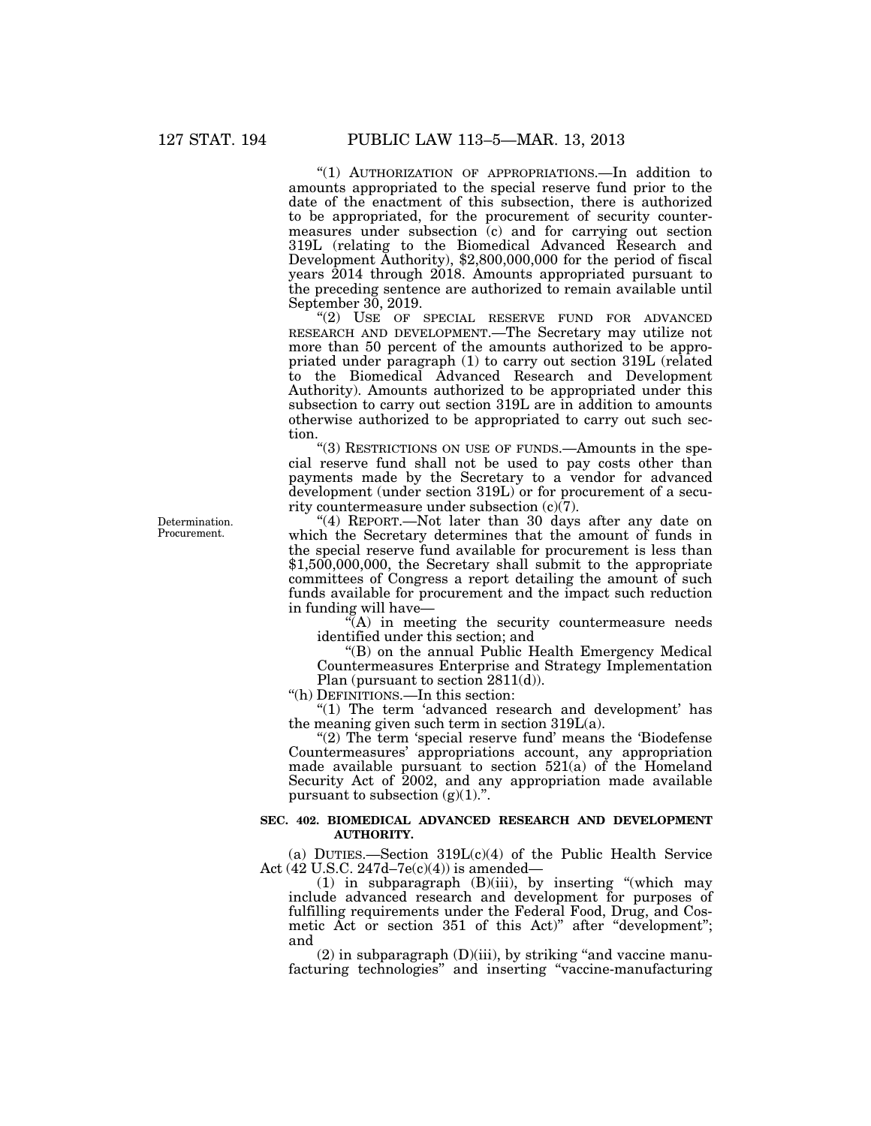''(1) AUTHORIZATION OF APPROPRIATIONS.—In addition to amounts appropriated to the special reserve fund prior to the date of the enactment of this subsection, there is authorized to be appropriated, for the procurement of security countermeasures under subsection (c) and for carrying out section 319L (relating to the Biomedical Advanced Research and Development Authority), \$2,800,000,000 for the period of fiscal years 2014 through 2018. Amounts appropriated pursuant to the preceding sentence are authorized to remain available until September 30, 2019.

"(2) USE OF SPECIAL RESERVE FUND FOR ADVANCED RESEARCH AND DEVELOPMENT.—The Secretary may utilize not more than 50 percent of the amounts authorized to be appropriated under paragraph (1) to carry out section 319L (related to the Biomedical Advanced Research and Development Authority). Amounts authorized to be appropriated under this subsection to carry out section 319L are in addition to amounts otherwise authorized to be appropriated to carry out such section.

"(3) RESTRICTIONS ON USE OF FUNDS.—Amounts in the special reserve fund shall not be used to pay costs other than payments made by the Secretary to a vendor for advanced development (under section 319L) or for procurement of a security countermeasure under subsection  $(c)(7)$ .

"(4) REPORT.—Not later than 30 days after any date on which the Secretary determines that the amount of funds in the special reserve fund available for procurement is less than \$1,500,000,000, the Secretary shall submit to the appropriate committees of Congress a report detailing the amount of such funds available for procurement and the impact such reduction in funding will have—

"(A) in meeting the security countermeasure needs identified under this section; and

''(B) on the annual Public Health Emergency Medical Countermeasures Enterprise and Strategy Implementation Plan (pursuant to section 2811(d)).

''(h) DEFINITIONS.—In this section:

"(1) The term 'advanced research and development' has the meaning given such term in section  $319L(a)$ .

"(2) The term 'special reserve fund' means the 'Biodefense Countermeasures' appropriations account, any appropriation made available pursuant to section 521(a) of the Homeland Security Act of 2002, and any appropriation made available pursuant to subsection  $(g)(1)$ .".

## **SEC. 402. BIOMEDICAL ADVANCED RESEARCH AND DEVELOPMENT AUTHORITY.**

(a) DUTIES.—Section 319L(c)(4) of the Public Health Service Act (42 U.S.C. 247d–7e(c)(4)) is amended—

(1) in subparagraph (B)(iii), by inserting ''(which may include advanced research and development for purposes of fulfilling requirements under the Federal Food, Drug, and Cosmetic Act or section 351 of this Act)" after "development"; and

 $(2)$  in subparagraph  $(D)(iii)$ , by striking "and vaccine manufacturing technologies'' and inserting ''vaccine-manufacturing

Determination. Procurement.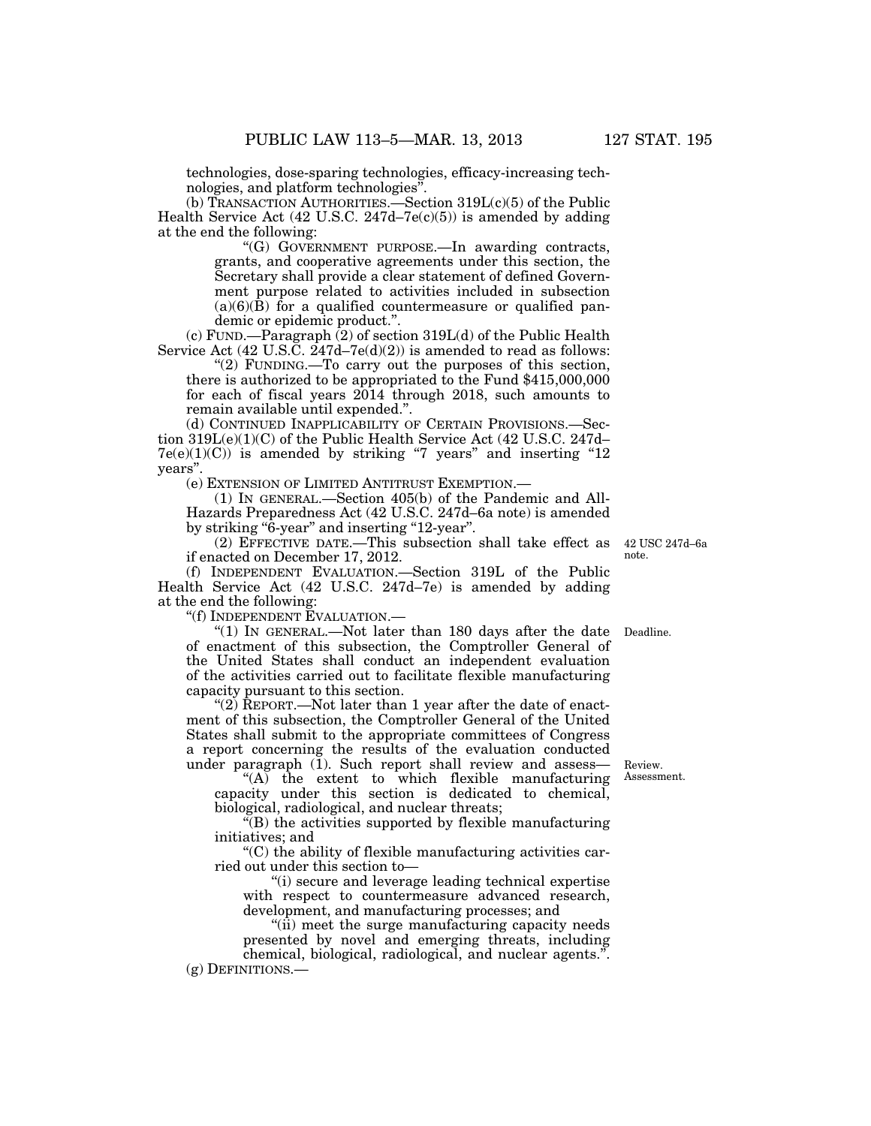technologies, dose-sparing technologies, efficacy-increasing technologies, and platform technologies''.

(b) TRANSACTION AUTHORITIES.—Section 319L(c)(5) of the Public Health Service Act  $(42 \text{ U.S.C. } 247 \text{d} - 7 \text{e}(\text{c})(5))$  is amended by adding at the end the following:

> ''(G) GOVERNMENT PURPOSE.—In awarding contracts, grants, and cooperative agreements under this section, the Secretary shall provide a clear statement of defined Government purpose related to activities included in subsection  $(a)(6)(\hat{B})$  for a qualified countermeasure or qualified pandemic or epidemic product.''.

(c) FUND.—Paragraph (2) of section 319L(d) of the Public Health Service Act  $(42 \text{ U.S.}\tilde{C} \cdot 247d-7e(d)(2))$  is amended to read as follows:

" $(2)$  FUNDING.—To carry out the purposes of this section, there is authorized to be appropriated to the Fund \$415,000,000 for each of fiscal years 2014 through 2018, such amounts to remain available until expended.''.

(d) CONTINUED INAPPLICABILITY OF CERTAIN PROVISIONS.—Section 319L(e)(1)(C) of the Public Health Service Act (42 U.S.C. 247d–  $7e(e)(1)(C)$  is amended by striking "7 years" and inserting "12 years''.

(e) EXTENSION OF LIMITED ANTITRUST EXEMPTION.—

(1) IN GENERAL.—Section 405(b) of the Pandemic and All-Hazards Preparedness Act (42 U.S.C. 247d–6a note) is amended by striking "6-year" and inserting "12-year".

(2) EFFECTIVE DATE.—This subsection shall take effect as 42 USC 247d–6a if enacted on December 17, 2012.

(f) INDEPENDENT EVALUATION.—Section 319L of the Public Health Service Act (42 U.S.C. 247d–7e) is amended by adding at the end the following:

''(f) INDEPENDENT EVALUATION.—

"(1) IN GENERAL.—Not later than 180 days after the date of enactment of this subsection, the Comptroller General of the United States shall conduct an independent evaluation of the activities carried out to facilitate flexible manufacturing capacity pursuant to this section. Deadline.

"(2) REPORT.—Not later than 1 year after the date of enactment of this subsection, the Comptroller General of the United States shall submit to the appropriate committees of Congress a report concerning the results of the evaluation conducted under paragraph  $(1)$ . Such report shall review and assess—

''(A) the extent to which flexible manufacturing capacity under this section is dedicated to chemical, biological, radiological, and nuclear threats;

''(B) the activities supported by flexible manufacturing initiatives; and

 $C$ ) the ability of flexible manufacturing activities carried out under this section to—

''(i) secure and leverage leading technical expertise with respect to countermeasure advanced research, development, and manufacturing processes; and

''(ii) meet the surge manufacturing capacity needs presented by novel and emerging threats, including chemical, biological, radiological, and nuclear agents.''. (g) DEFINITIONS.—

Review. Assessment.

note.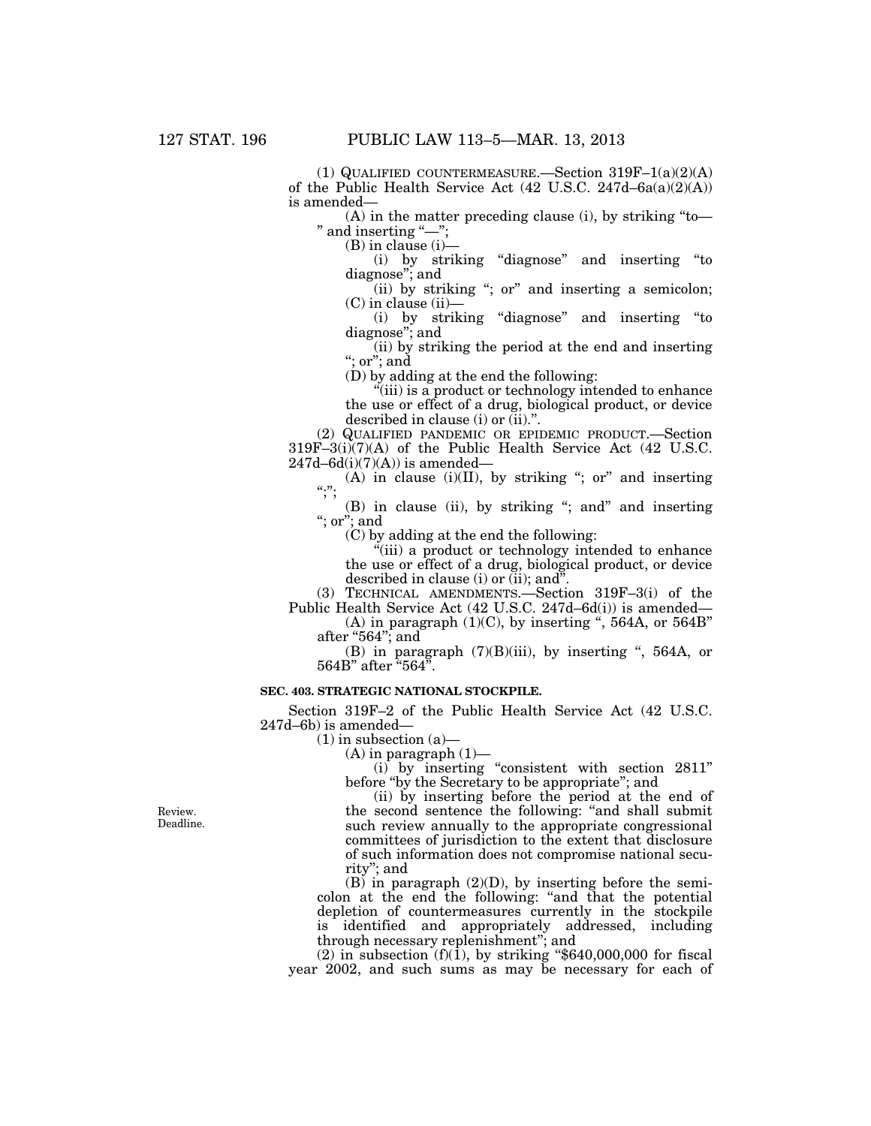(1) QUALIFIED COUNTERMEASURE.—Section  $319F-1(a)(2)(A)$ of the Public Health Service Act  $(42 \text{ U.S.C. } 247d - 6a(a)(2)(A))$ is amended—

(A) in the matter preceding clause (i), by striking ''to— " and inserting "-"

(B) in clause (i)—

(i) by striking ''diagnose'' and inserting ''to diagnose''; and

 $(iii)$  by striking "; or" and inserting a semicolon;  $(C)$  in clause  $(ii)$ —

(i) by striking ''diagnose'' and inserting ''to diagnose''; and

(ii) by striking the period at the end and inserting ''; or''; and

(D) by adding at the end the following:

"(iii) is a product or technology intended to enhance the use or effect of a drug, biological product, or device described in clause (i) or (ii).''.

(2) QUALIFIED PANDEMIC OR EPIDEMIC PRODUCT.—Section 319F–3(i)(7)(A) of the Public Health Service Act (42 U.S.C.  $247d - 6d(i)(7)(A)$  is amended—

(A) in clause (i)(II), by striking "; or" and inserting  $\ldots$ "

(B) in clause (ii), by striking ''; and'' and inserting ''; or''; and

(C) by adding at the end the following:

 $\ddot{H}$ (iii) a product or technology intended to enhance the use or effect of a drug, biological product, or device described in clause (i) or  $(ii)$ ; and".

(3) TECHNICAL AMENDMENTS.—Section 319F–3(i) of the Public Health Service Act (42 U.S.C. 247d–6d(i)) is amended—

(A) in paragraph  $(1)(C)$ , by inserting ", 564A, or 564B" after " $564$ "; and

(B) in paragraph  $(7)(B)(iii)$ , by inserting ", 564A, or 564B'' after ''564''.

## **SEC. 403. STRATEGIC NATIONAL STOCKPILE.**

Section 319F–2 of the Public Health Service Act (42 U.S.C. 247d–6b) is amended—

 $(1)$  in subsection  $(a)$ —

 $(A)$  in paragraph  $(1)$ —

(i) by inserting ''consistent with section 2811'' before ''by the Secretary to be appropriate''; and

(ii) by inserting before the period at the end of the second sentence the following: ''and shall submit such review annually to the appropriate congressional committees of jurisdiction to the extent that disclosure of such information does not compromise national security''; and

 $(B)$  in paragraph  $(2)(D)$ , by inserting before the semicolon at the end the following: ''and that the potential depletion of countermeasures currently in the stockpile is identified and appropriately addressed, including through necessary replenishment''; and

(2) in subsection  $(f)(1)$ , by striking "\$640,000,000 for fiscal year 2002, and such sums as may be necessary for each of

Review. Deadline.